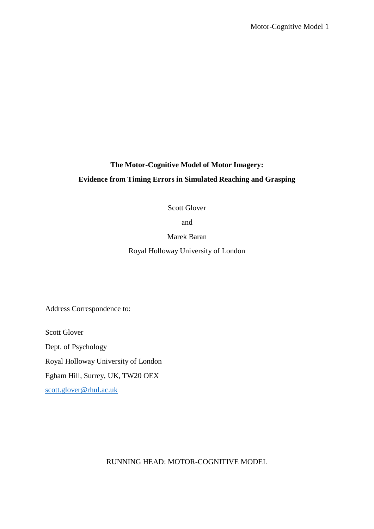# **The Motor-Cognitive Model of Motor Imagery: Evidence from Timing Errors in Simulated Reaching and Grasping**

Scott Glover

and

Marek Baran

Royal Holloway University of London

Address Correspondence to:

Scott Glover Dept. of Psychology Royal Holloway University of London Egham Hill, Surrey, UK, TW20 OEX [scott.glover@rhul.ac.uk](mailto:scott.glover@rhul.ac.uk)

RUNNING HEAD: MOTOR-COGNITIVE MODEL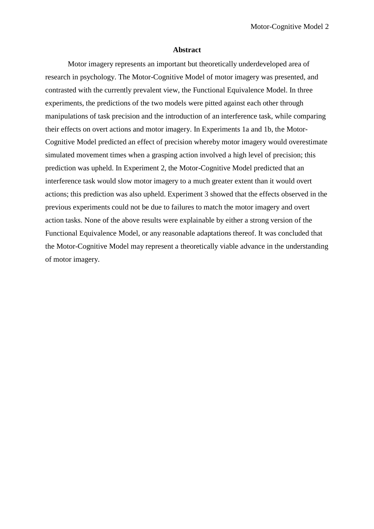#### **Abstract**

Motor imagery represents an important but theoretically underdeveloped area of research in psychology. The Motor-Cognitive Model of motor imagery was presented, and contrasted with the currently prevalent view, the Functional Equivalence Model. In three experiments, the predictions of the two models were pitted against each other through manipulations of task precision and the introduction of an interference task, while comparing their effects on overt actions and motor imagery. In Experiments 1a and 1b, the Motor-Cognitive Model predicted an effect of precision whereby motor imagery would overestimate simulated movement times when a grasping action involved a high level of precision; this prediction was upheld. In Experiment 2, the Motor-Cognitive Model predicted that an interference task would slow motor imagery to a much greater extent than it would overt actions; this prediction was also upheld. Experiment 3 showed that the effects observed in the previous experiments could not be due to failures to match the motor imagery and overt action tasks. None of the above results were explainable by either a strong version of the Functional Equivalence Model, or any reasonable adaptations thereof. It was concluded that the Motor-Cognitive Model may represent a theoretically viable advance in the understanding of motor imagery.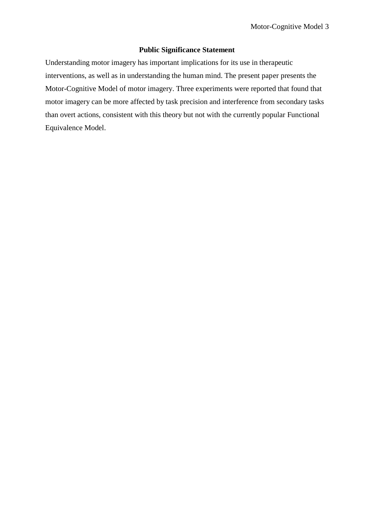# **Public Significance Statement**

Understanding motor imagery has important implications for its use in therapeutic interventions, as well as in understanding the human mind. The present paper presents the Motor-Cognitive Model of motor imagery. Three experiments were reported that found that motor imagery can be more affected by task precision and interference from secondary tasks than overt actions, consistent with this theory but not with the currently popular Functional Equivalence Model.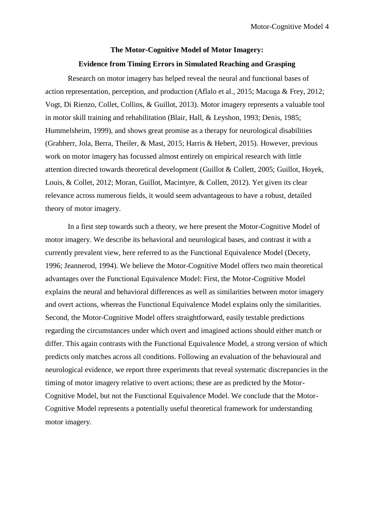# **The Motor-Cognitive Model of Motor Imagery: Evidence from Timing Errors in Simulated Reaching and Grasping**

Research on motor imagery has helped reveal the neural and functional bases of action representation, perception, and production (Aflalo et al., 2015; Macuga & Frey, 2012; Vogt, Di Rienzo, Collet, Collins, & Guillot, 2013). Motor imagery represents a valuable tool in motor skill training and rehabilitation (Blair, Hall, & Leyshon, 1993; Denis, 1985; Hummelsheim, 1999), and shows great promise as a therapy for neurological disabilities (Grabherr, Jola, Berra, Theiler, & Mast, 2015; Harris & Hebert, 2015). However, previous work on motor imagery has focussed almost entirely on empirical research with little attention directed towards theoretical development (Guillot & Collett, 2005; Guillot, Hoyek, Louis, & Collet, 2012; Moran, Guillot, Macintyre, & Collett, 2012). Yet given its clear relevance across numerous fields, it would seem advantageous to have a robust, detailed theory of motor imagery.

In a first step towards such a theory, we here present the Motor-Cognitive Model of motor imagery. We describe its behavioral and neurological bases, and contrast it with a currently prevalent view, here referred to as the Functional Equivalence Model (Decety, 1996; Jeannerod, 1994). We believe the Motor-Cognitive Model offers two main theoretical advantages over the Functional Equivalence Model: First, the Motor-Cognitive Model explains the neural and behavioral differences as well as similarities between motor imagery and overt actions, whereas the Functional Equivalence Model explains only the similarities. Second, the Motor-Cognitive Model offers straightforward, easily testable predictions regarding the circumstances under which overt and imagined actions should either match or differ. This again contrasts with the Functional Equivalence Model, a strong version of which predicts only matches across all conditions. Following an evaluation of the behavioural and neurological evidence, we report three experiments that reveal systematic discrepancies in the timing of motor imagery relative to overt actions; these are as predicted by the Motor-Cognitive Model, but not the Functional Equivalence Model. We conclude that the Motor-Cognitive Model represents a potentially useful theoretical framework for understanding motor imagery.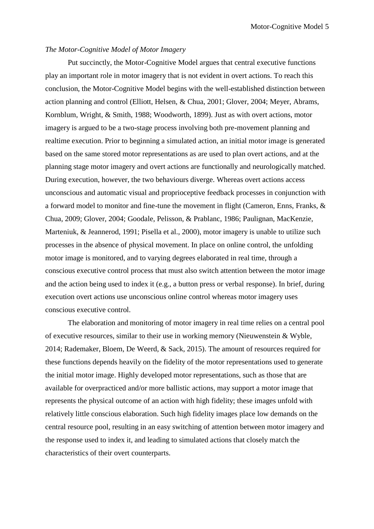## *The Motor-Cognitive Model of Motor Imagery*

Put succinctly, the Motor-Cognitive Model argues that central executive functions play an important role in motor imagery that is not evident in overt actions. To reach this conclusion, the Motor-Cognitive Model begins with the well-established distinction between action planning and control (Elliott, Helsen, & Chua, 2001; Glover, 2004; Meyer, Abrams, Kornblum, Wright, & Smith, 1988; Woodworth, 1899). Just as with overt actions, motor imagery is argued to be a two-stage process involving both pre-movement planning and realtime execution. Prior to beginning a simulated action, an initial motor image is generated based on the same stored motor representations as are used to plan overt actions, and at the planning stage motor imagery and overt actions are functionally and neurologically matched. During execution, however, the two behaviours diverge. Whereas overt actions access unconscious and automatic visual and proprioceptive feedback processes in conjunction with a forward model to monitor and fine-tune the movement in flight (Cameron, Enns, Franks, & Chua, 2009; Glover, 2004; Goodale, Pelisson, & Prablanc, 1986; Paulignan, MacKenzie, Marteniuk, & Jeannerod, 1991; Pisella et al., 2000), motor imagery is unable to utilize such processes in the absence of physical movement. In place on online control, the unfolding motor image is monitored, and to varying degrees elaborated in real time, through a conscious executive control process that must also switch attention between the motor image and the action being used to index it (e.g., a button press or verbal response). In brief, during execution overt actions use unconscious online control whereas motor imagery uses conscious executive control.

The elaboration and monitoring of motor imagery in real time relies on a central pool of executive resources, similar to their use in working memory (Nieuwenstein & Wyble, 2014; Rademaker, Bloem, De Weerd, & Sack, 2015). The amount of resources required for these functions depends heavily on the fidelity of the motor representations used to generate the initial motor image. Highly developed motor representations, such as those that are available for overpracticed and/or more ballistic actions, may support a motor image that represents the physical outcome of an action with high fidelity; these images unfold with relatively little conscious elaboration. Such high fidelity images place low demands on the central resource pool, resulting in an easy switching of attention between motor imagery and the response used to index it, and leading to simulated actions that closely match the characteristics of their overt counterparts.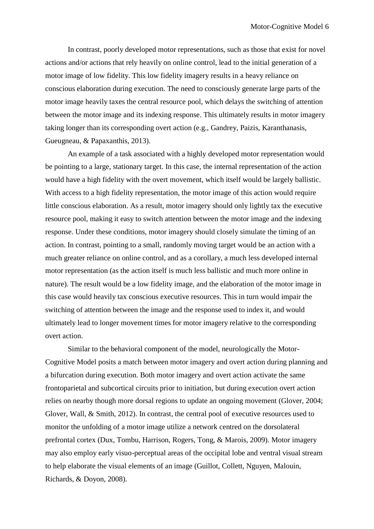In contrast, poorly developed motor representations, such as those that exist for novel actions and/or actions that rely heavily on online control, lead to the initial generation of a motor image of low fidelity. This low fidelity imagery results in a heavy reliance on conscious elaboration during execution. The need to consciously generate large parts of the motor image heavily taxes the central resource pool, which delays the switching of attention between the motor image and its indexing response. This ultimately results in motor imagery taking longer than its corresponding overt action (e.g., Gandrey, Paizis, Karanthanasis, Gueugneau, & Papaxanthis, 2013).

An example of a task associated with a highly developed motor representation would be pointing to a large, stationary target. In this case, the internal representation of the action would have a high fidelity with the overt movement, which itself would be largely ballistic. With access to a high fidelity representation, the motor image of this action would require little conscious elaboration. As a result, motor imagery should only lightly tax the executive resource pool, making it easy to switch attention between the motor image and the indexing response. Under these conditions, motor imagery should closely simulate the timing of an action. In contrast, pointing to a small, randomly moving target would be an action with a much greater reliance on online control, and as a corollary, a much less developed internal motor representation (as the action itself is much less ballistic and much more online in nature). The result would be a low fidelity image, and the elaboration of the motor image in this case would heavily tax conscious executive resources. This in turn would impair the switching of attention between the image and the response used to index it, and would ultimately lead to longer movement times for motor imagery relative to the corresponding overt action.

Similar to the behavioral component of the model, neurologically the Motor-Cognitive Model posits a match between motor imagery and overt action during planning and a bifurcation during execution. Both motor imagery and overt action activate the same frontoparietal and subcortical circuits prior to initiation, but during execution overt action relies on nearby though more dorsal regions to update an ongoing movement (Glover, 2004; Glover, Wall, & Smith, 2012). In contrast, the central pool of executive resources used to monitor the unfolding of a motor image utilize a network centred on the dorsolateral prefrontal cortex (Dux, Tombu, Harrison, Rogers, Tong, & Marois, 2009). Motor imagery may also employ early visuo-perceptual areas of the occipital lobe and ventral visual stream to help elaborate the visual elements of an image (Guillot, Collett, Nguyen, Malouin, Richards, & Doyon, 2008).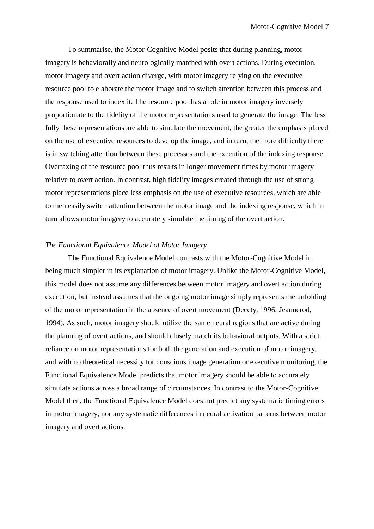To summarise, the Motor-Cognitive Model posits that during planning, motor imagery is behaviorally and neurologically matched with overt actions. During execution, motor imagery and overt action diverge, with motor imagery relying on the executive resource pool to elaborate the motor image and to switch attention between this process and the response used to index it. The resource pool has a role in motor imagery inversely proportionate to the fidelity of the motor representations used to generate the image. The less fully these representations are able to simulate the movement, the greater the emphasis placed on the use of executive resources to develop the image, and in turn, the more difficulty there is in switching attention between these processes and the execution of the indexing response. Overtaxing of the resource pool thus results in longer movement times by motor imagery relative to overt action. In contrast, high fidelity images created through the use of strong motor representations place less emphasis on the use of executive resources, which are able to then easily switch attention between the motor image and the indexing response, which in turn allows motor imagery to accurately simulate the timing of the overt action.

# *The Functional Equivalence Model of Motor Imagery*

The Functional Equivalence Model contrasts with the Motor-Cognitive Model in being much simpler in its explanation of motor imagery. Unlike the Motor-Cognitive Model, this model does not assume any differences between motor imagery and overt action during execution, but instead assumes that the ongoing motor image simply represents the unfolding of the motor representation in the absence of overt movement (Decety, 1996; Jeannerod, 1994). As such, motor imagery should utilize the same neural regions that are active during the planning of overt actions, and should closely match its behavioral outputs. With a strict reliance on motor representations for both the generation and execution of motor imagery, and with no theoretical necessity for conscious image generation or executive monitoring, the Functional Equivalence Model predicts that motor imagery should be able to accurately simulate actions across a broad range of circumstances. In contrast to the Motor-Cognitive Model then, the Functional Equivalence Model does not predict any systematic timing errors in motor imagery, nor any systematic differences in neural activation patterns between motor imagery and overt actions.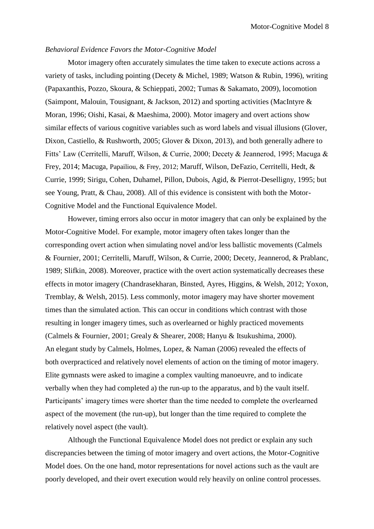# *Behavioral Evidence Favors the Motor-Cognitive Model*

Motor imagery often accurately simulates the time taken to execute actions across a variety of tasks, including pointing (Decety & Michel, 1989; Watson & Rubin, 1996), writing (Papaxanthis, Pozzo, Skoura, & Schieppati, 2002; Tumas & Sakamato, 2009), locomotion (Saimpont, Malouin, Tousignant, & Jackson, 2012) and sporting activities (MacIntyre & Moran, 1996; Oishi, Kasai, & Maeshima, 2000). Motor imagery and overt actions show similar effects of various cognitive variables such as word labels and visual illusions (Glover, Dixon, Castiello, & Rushworth, 2005; Glover & Dixon, 2013), and both generally adhere to Fitts' Law (Cerritelli, Maruff, Wilson, & Currie, 2000; Decety & Jeannerod, 1995; Macuga & Frey, 2014; Macuga, Papailiou, & Frey, 2012; Maruff, Wilson, DeFazio, Cerritelli, Hedt, & Currie, 1999; Sirigu, Cohen, Duhamel, Pillon, Dubois, Agid, & Pierrot-Deselligny, 1995; but see Young, Pratt, & Chau, 2008). All of this evidence is consistent with both the Motor-Cognitive Model and the Functional Equivalence Model.

However, timing errors also occur in motor imagery that can only be explained by the Motor-Cognitive Model. For example, motor imagery often takes longer than the corresponding overt action when simulating novel and/or less ballistic movements (Calmels & Fournier, 2001; Cerritelli, Maruff, Wilson, & Currie, 2000; Decety, Jeannerod, & Prablanc, 1989; Slifkin, 2008). Moreover, practice with the overt action systematically decreases these effects in motor imagery (Chandrasekharan, Binsted, Ayres, Higgins, & Welsh, 2012; Yoxon, Tremblay, & Welsh, 2015). Less commonly, motor imagery may have shorter movement times than the simulated action. This can occur in conditions which contrast with those resulting in longer imagery times, such as overlearned or highly practiced movements (Calmels & Fournier, 2001; Grealy & Shearer, 2008; Hanyu & Itsukushima, 2000). An elegant study by Calmels, Holmes, Lopez, & Naman (2006) revealed the effects of both overpracticed and relatively novel elements of action on the timing of motor imagery. Elite gymnasts were asked to imagine a complex vaulting manoeuvre, and to indicate verbally when they had completed a) the run-up to the apparatus, and b) the vault itself. Participants' imagery times were shorter than the time needed to complete the overlearned aspect of the movement (the run-up), but longer than the time required to complete the relatively novel aspect (the vault).

Although the Functional Equivalence Model does not predict or explain any such discrepancies between the timing of motor imagery and overt actions, the Motor-Cognitive Model does. On the one hand, motor representations for novel actions such as the vault are poorly developed, and their overt execution would rely heavily on online control processes.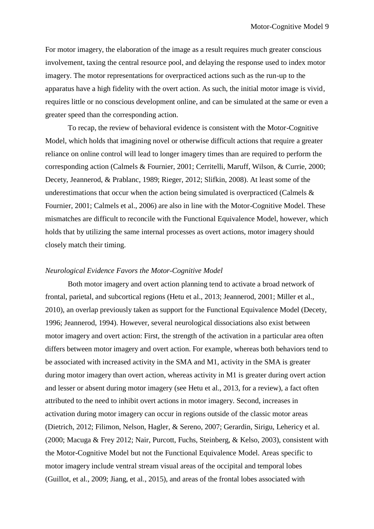For motor imagery, the elaboration of the image as a result requires much greater conscious involvement, taxing the central resource pool, and delaying the response used to index motor imagery. The motor representations for overpracticed actions such as the run-up to the apparatus have a high fidelity with the overt action. As such, the initial motor image is vivid, requires little or no conscious development online, and can be simulated at the same or even a greater speed than the corresponding action.

To recap, the review of behavioral evidence is consistent with the Motor-Cognitive Model, which holds that imagining novel or otherwise difficult actions that require a greater reliance on online control will lead to longer imagery times than are required to perform the corresponding action (Calmels & Fournier, 2001; Cerritelli, Maruff, Wilson, & Currie, 2000; Decety, Jeannerod, & Prablanc, 1989; Rieger, 2012; Slifkin, 2008). At least some of the underestimations that occur when the action being simulated is overpracticed (Calmels  $\&$ Fournier, 2001; Calmels et al., 2006) are also in line with the Motor-Cognitive Model. These mismatches are difficult to reconcile with the Functional Equivalence Model, however, which holds that by utilizing the same internal processes as overt actions, motor imagery should closely match their timing.

# *Neurological Evidence Favors the Motor-Cognitive Model*

Both motor imagery and overt action planning tend to activate a broad network of frontal, parietal, and subcortical regions (Hetu et al., 2013; Jeannerod, 2001; Miller et al., 2010), an overlap previously taken as support for the Functional Equivalence Model (Decety, 1996; Jeannerod, 1994). However, several neurological dissociations also exist between motor imagery and overt action: First, the strength of the activation in a particular area often differs between motor imagery and overt action. For example, whereas both behaviors tend to be associated with increased activity in the SMA and M1, activity in the SMA is greater during motor imagery than overt action, whereas activity in M1 is greater during overt action and lesser or absent during motor imagery (see Hetu et al., 2013, for a review), a fact often attributed to the need to inhibit overt actions in motor imagery. Second, increases in activation during motor imagery can occur in regions outside of the classic motor areas (Dietrich, 2012; Filimon, Nelson, Hagler, & Sereno, 2007; Gerardin, Sirigu, Lehericy et al. (2000; Macuga & Frey 2012; Nair, Purcott, Fuchs, Steinberg, & Kelso, 2003), consistent with the Motor-Cognitive Model but not the Functional Equivalence Model. Areas specific to motor imagery include ventral stream visual areas of the occipital and temporal lobes (Guillot, et al., 2009; Jiang, et al., 2015), and areas of the frontal lobes associated with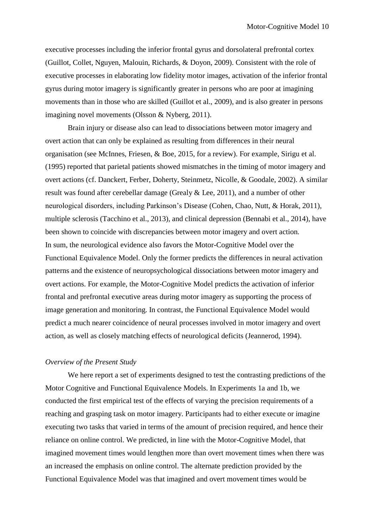executive processes including the inferior frontal gyrus and dorsolateral prefrontal cortex (Guillot, Collet, Nguyen, Malouin, Richards, & Doyon, 2009). Consistent with the role of executive processes in elaborating low fidelity motor images, activation of the inferior frontal gyrus during motor imagery is significantly greater in persons who are poor at imagining movements than in those who are skilled (Guillot et al., 2009), and is also greater in persons imagining novel movements (Olsson & Nyberg, 2011).

Brain injury or disease also can lead to dissociations between motor imagery and overt action that can only be explained as resulting from differences in their neural organisation (see McInnes, Friesen, & Boe, 2015, for a review). For example, Sirigu et al. (1995) reported that parietal patients showed mismatches in the timing of motor imagery and overt actions (cf. Danckert, Ferber, Doherty, Steinmetz, Nicolle, & Goodale, 2002). A similar result was found after cerebellar damage (Grealy & Lee, 2011), and a number of other neurological disorders, including Parkinson's Disease (Cohen, Chao, Nutt, & Horak, 2011), multiple sclerosis (Tacchino et al., 2013), and clinical depression (Bennabi et al., 2014), have been shown to coincide with discrepancies between motor imagery and overt action. In sum, the neurological evidence also favors the Motor-Cognitive Model over the Functional Equivalence Model. Only the former predicts the differences in neural activation patterns and the existence of neuropsychological dissociations between motor imagery and overt actions. For example, the Motor-Cognitive Model predicts the activation of inferior frontal and prefrontal executive areas during motor imagery as supporting the process of image generation and monitoring. In contrast, the Functional Equivalence Model would predict a much nearer coincidence of neural processes involved in motor imagery and overt action, as well as closely matching effects of neurological deficits (Jeannerod, 1994).

# *Overview of the Present Study*

We here report a set of experiments designed to test the contrasting predictions of the Motor Cognitive and Functional Equivalence Models. In Experiments 1a and 1b, we conducted the first empirical test of the effects of varying the precision requirements of a reaching and grasping task on motor imagery. Participants had to either execute or imagine executing two tasks that varied in terms of the amount of precision required, and hence their reliance on online control. We predicted, in line with the Motor-Cognitive Model, that imagined movement times would lengthen more than overt movement times when there was an increased the emphasis on online control. The alternate prediction provided by the Functional Equivalence Model was that imagined and overt movement times would be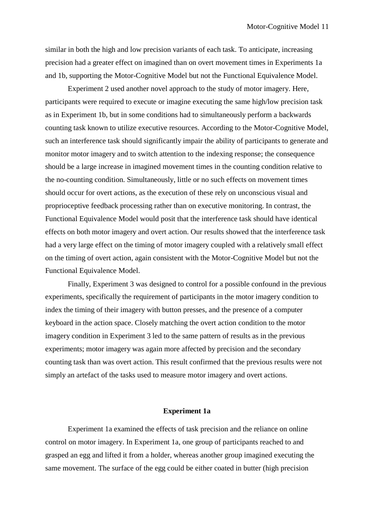similar in both the high and low precision variants of each task. To anticipate, increasing precision had a greater effect on imagined than on overt movement times in Experiments 1a and 1b, supporting the Motor-Cognitive Model but not the Functional Equivalence Model.

Experiment 2 used another novel approach to the study of motor imagery. Here, participants were required to execute or imagine executing the same high/low precision task as in Experiment 1b, but in some conditions had to simultaneously perform a backwards counting task known to utilize executive resources. According to the Motor-Cognitive Model, such an interference task should significantly impair the ability of participants to generate and monitor motor imagery and to switch attention to the indexing response; the consequence should be a large increase in imagined movement times in the counting condition relative to the no-counting condition. Simultaneously, little or no such effects on movement times should occur for overt actions, as the execution of these rely on unconscious visual and proprioceptive feedback processing rather than on executive monitoring. In contrast, the Functional Equivalence Model would posit that the interference task should have identical effects on both motor imagery and overt action. Our results showed that the interference task had a very large effect on the timing of motor imagery coupled with a relatively small effect on the timing of overt action, again consistent with the Motor-Cognitive Model but not the Functional Equivalence Model.

Finally, Experiment 3 was designed to control for a possible confound in the previous experiments, specifically the requirement of participants in the motor imagery condition to index the timing of their imagery with button presses, and the presence of a computer keyboard in the action space. Closely matching the overt action condition to the motor imagery condition in Experiment 3 led to the same pattern of results as in the previous experiments; motor imagery was again more affected by precision and the secondary counting task than was overt action. This result confirmed that the previous results were not simply an artefact of the tasks used to measure motor imagery and overt actions.

## **Experiment 1a**

Experiment 1a examined the effects of task precision and the reliance on online control on motor imagery. In Experiment 1a, one group of participants reached to and grasped an egg and lifted it from a holder, whereas another group imagined executing the same movement. The surface of the egg could be either coated in butter (high precision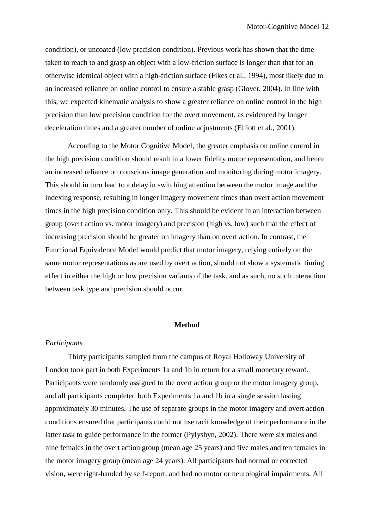condition), or uncoated (low precision condition). Previous work has shown that the time taken to reach to and grasp an object with a low-friction surface is longer than that for an otherwise identical object with a high-friction surface (Fikes et al., 1994), most likely due to an increased reliance on online control to ensure a stable grasp (Glover, 2004). In line with this, we expected kinematic analysis to show a greater reliance on online control in the high precision than low precision condition for the overt movement, as evidenced by longer deceleration times and a greater number of online adjustments (Elliott et al., 2001).

According to the Motor Cognitive Model, the greater emphasis on online control in the high precision condition should result in a lower fidelity motor representation, and hence an increased reliance on conscious image generation and monitoring during motor imagery. This should in turn lead to a delay in switching attention between the motor image and the indexing response, resulting in longer imagery movement times than overt action movement times in the high precision condition only. This should be evident in an interaction between group (overt action vs. motor imagery) and precision (high vs. low) such that the effect of increasing precision should be greater on imagery than on overt action. In contrast, the Functional Equivalence Model would predict that motor imagery, relying entirely on the same motor representations as are used by overt action, should not show a systematic timing effect in either the high or low precision variants of the task, and as such, no such interaction between task type and precision should occur.

#### **Method**

# *Participants*

Thirty participants sampled from the campus of Royal Holloway University of London took part in both Experiments 1a and 1b in return for a small monetary reward. Participants were randomly assigned to the overt action group or the motor imagery group, and all participants completed both Experiments 1a and 1b in a single session lasting approximately 30 minutes. The use of separate groups in the motor imagery and overt action conditions ensured that participants could not use tacit knowledge of their performance in the latter task to guide performance in the former (Pylyshyn, 2002). There were six males and nine females in the overt action group (mean age 25 years) and five males and ten females in the motor imagery group (mean age 24 years). All participants had normal or corrected vision, were right-handed by self-report, and had no motor or neurological impairments. All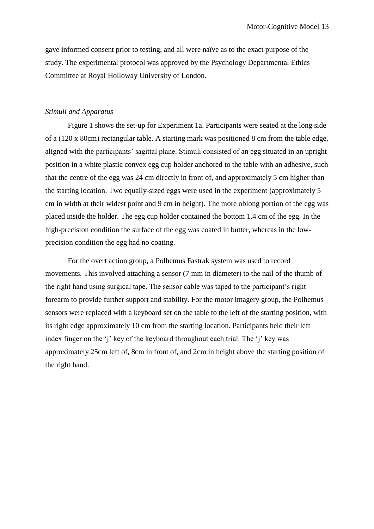gave informed consent prior to testing, and all were naïve as to the exact purpose of the study. The experimental protocol was approved by the Psychology Departmental Ethics Committee at Royal Holloway University of London.

# *Stimuli and Apparatus*

Figure 1 shows the set-up for Experiment 1a. Participants were seated at the long side of a (120 x 80cm) rectangular table. A starting mark was positioned 8 cm from the table edge, aligned with the participants' sagittal plane. Stimuli consisted of an egg situated in an upright position in a white plastic convex egg cup holder anchored to the table with an adhesive, such that the centre of the egg was 24 cm directly in front of, and approximately 5 cm higher than the starting location. Two equally-sized eggs were used in the experiment (approximately 5 cm in width at their widest point and 9 cm in height). The more oblong portion of the egg was placed inside the holder. The egg cup holder contained the bottom 1.4 cm of the egg. In the high-precision condition the surface of the egg was coated in butter, whereas in the lowprecision condition the egg had no coating.

For the overt action group, a Polhemus Fastrak system was used to record movements. This involved attaching a sensor (7 mm in diameter) to the nail of the thumb of the right hand using surgical tape. The sensor cable was taped to the participant's right forearm to provide further support and stability. For the motor imagery group, the Polhemus sensors were replaced with a keyboard set on the table to the left of the starting position, with its right edge approximately 10 cm from the starting location. Participants held their left index finger on the 'j' key of the keyboard throughout each trial. The 'j' key was approximately 25cm left of, 8cm in front of, and 2cm in height above the starting position of the right hand.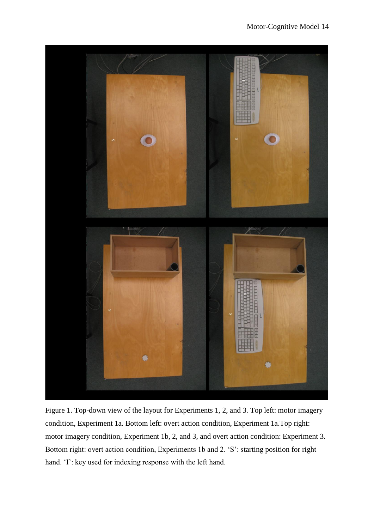

Figure 1. Top-down view of the layout for Experiments 1, 2, and 3. Top left: motor imagery condition, Experiment 1a. Bottom left: overt action condition, Experiment 1a.Top right: motor imagery condition, Experiment 1b, 2, and 3, and overt action condition: Experiment 3. Bottom right: overt action condition, Experiments 1b and 2. 'S': starting position for right hand. 'I': key used for indexing response with the left hand.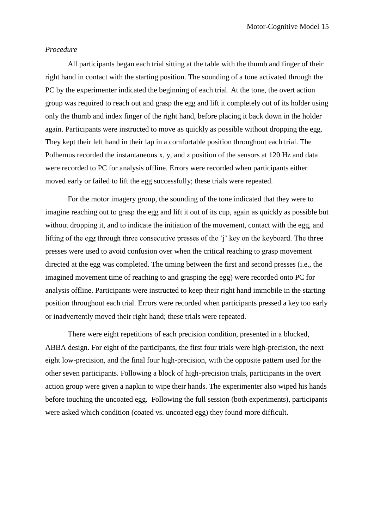## *Procedure*

All participants began each trial sitting at the table with the thumb and finger of their right hand in contact with the starting position. The sounding of a tone activated through the PC by the experimenter indicated the beginning of each trial. At the tone, the overt action group was required to reach out and grasp the egg and lift it completely out of its holder using only the thumb and index finger of the right hand, before placing it back down in the holder again. Participants were instructed to move as quickly as possible without dropping the egg. They kept their left hand in their lap in a comfortable position throughout each trial. The Polhemus recorded the instantaneous x, y, and z position of the sensors at 120 Hz and data were recorded to PC for analysis offline. Errors were recorded when participants either moved early or failed to lift the egg successfully; these trials were repeated.

For the motor imagery group, the sounding of the tone indicated that they were to imagine reaching out to grasp the egg and lift it out of its cup, again as quickly as possible but without dropping it, and to indicate the initiation of the movement, contact with the egg, and lifting of the egg through three consecutive presses of the 'j' key on the keyboard. The three presses were used to avoid confusion over when the critical reaching to grasp movement directed at the egg was completed. The timing between the first and second presses (i.e., the imagined movement time of reaching to and grasping the egg) were recorded onto PC for analysis offline. Participants were instructed to keep their right hand immobile in the starting position throughout each trial. Errors were recorded when participants pressed a key too early or inadvertently moved their right hand; these trials were repeated.

There were eight repetitions of each precision condition, presented in a blocked, ABBA design. For eight of the participants, the first four trials were high-precision, the next eight low-precision, and the final four high-precision, with the opposite pattern used for the other seven participants. Following a block of high-precision trials, participants in the overt action group were given a napkin to wipe their hands. The experimenter also wiped his hands before touching the uncoated egg. Following the full session (both experiments), participants were asked which condition (coated vs. uncoated egg) they found more difficult.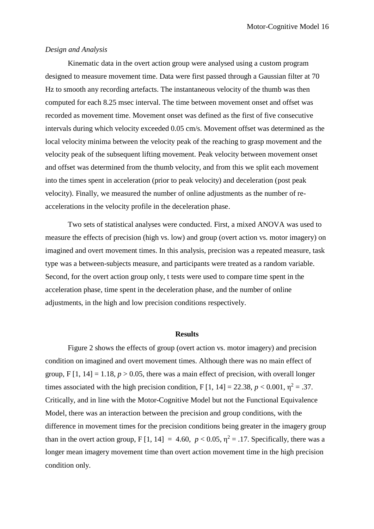# *Design and Analysis*

Kinematic data in the overt action group were analysed using a custom program designed to measure movement time. Data were first passed through a Gaussian filter at 70 Hz to smooth any recording artefacts. The instantaneous velocity of the thumb was then computed for each 8.25 msec interval. The time between movement onset and offset was recorded as movement time. Movement onset was defined as the first of five consecutive intervals during which velocity exceeded 0.05 cm/s. Movement offset was determined as the local velocity minima between the velocity peak of the reaching to grasp movement and the velocity peak of the subsequent lifting movement. Peak velocity between movement onset and offset was determined from the thumb velocity, and from this we split each movement into the times spent in acceleration (prior to peak velocity) and deceleration (post peak velocity). Finally, we measured the number of online adjustments as the number of reaccelerations in the velocity profile in the deceleration phase.

Two sets of statistical analyses were conducted. First, a mixed ANOVA was used to measure the effects of precision (high vs. low) and group (overt action vs. motor imagery) on imagined and overt movement times. In this analysis, precision was a repeated measure, task type was a between-subjects measure, and participants were treated as a random variable. Second, for the overt action group only, t tests were used to compare time spent in the acceleration phase, time spent in the deceleration phase, and the number of online adjustments, in the high and low precision conditions respectively.

# **Results**

Figure 2 shows the effects of group (overt action vs. motor imagery) and precision condition on imagined and overt movement times. Although there was no main effect of group,  $F[1, 14] = 1.18$ ,  $p > 0.05$ , there was a main effect of precision, with overall longer times associated with the high precision condition, F [1, 14] = 22.38,  $p < 0.001$ ,  $\eta^2 = .37$ . Critically, and in line with the Motor-Cognitive Model but not the Functional Equivalence Model, there was an interaction between the precision and group conditions, with the difference in movement times for the precision conditions being greater in the imagery group than in the overt action group, F [1, 14] = 4.60,  $p < 0.05$ ,  $\eta^2 = .17$ . Specifically, there was a longer mean imagery movement time than overt action movement time in the high precision condition only.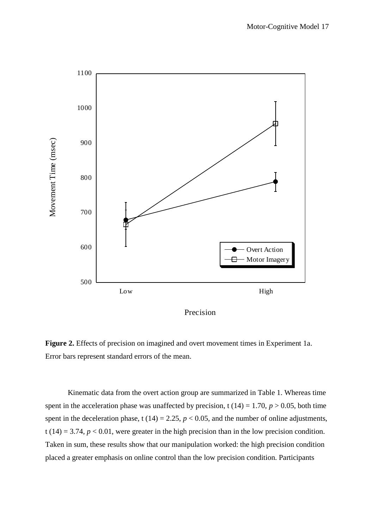

**Figure 2.** Effects of precision on imagined and overt movement times in Experiment 1a. Error bars represent standard errors of the mean.

Kinematic data from the overt action group are summarized in Table 1. Whereas time spent in the acceleration phase was unaffected by precision, t  $(14) = 1.70$ ,  $p > 0.05$ , both time spent in the deceleration phase, t  $(14) = 2.25$ ,  $p < 0.05$ , and the number of online adjustments, t (14) = 3.74,  $p < 0.01$ , were greater in the high precision than in the low precision condition. Taken in sum, these results show that our manipulation worked: the high precision condition placed a greater emphasis on online control than the low precision condition. Participants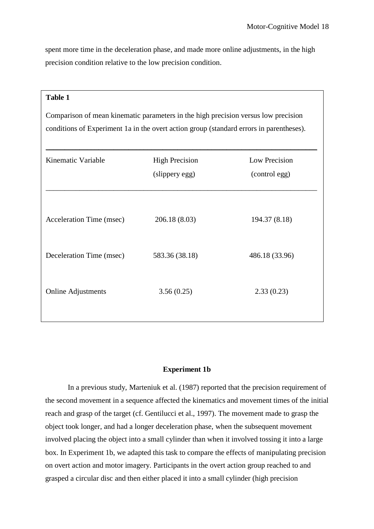spent more time in the deceleration phase, and made more online adjustments, in the high precision condition relative to the low precision condition.

# **Table 1**

Comparison of mean kinematic parameters in the high precision versus low precision conditions of Experiment 1a in the overt action group (standard errors in parentheses).

| Kinematic Variable        | <b>High Precision</b><br>(slippery egg) | Low Precision<br>(control egg) |  |
|---------------------------|-----------------------------------------|--------------------------------|--|
| Acceleration Time (msec)  | 206.18(8.03)                            | 194.37 (8.18)                  |  |
| Deceleration Time (msec)  | 583.36 (38.18)                          | 486.18 (33.96)                 |  |
| <b>Online Adjustments</b> | 3.56(0.25)                              | 2.33(0.23)                     |  |
|                           |                                         |                                |  |

# **Experiment 1b**

In a previous study, Marteniuk et al. (1987) reported that the precision requirement of the second movement in a sequence affected the kinematics and movement times of the initial reach and grasp of the target (cf. Gentilucci et al., 1997). The movement made to grasp the object took longer, and had a longer deceleration phase, when the subsequent movement involved placing the object into a small cylinder than when it involved tossing it into a large box. In Experiment 1b, we adapted this task to compare the effects of manipulating precision on overt action and motor imagery. Participants in the overt action group reached to and grasped a circular disc and then either placed it into a small cylinder (high precision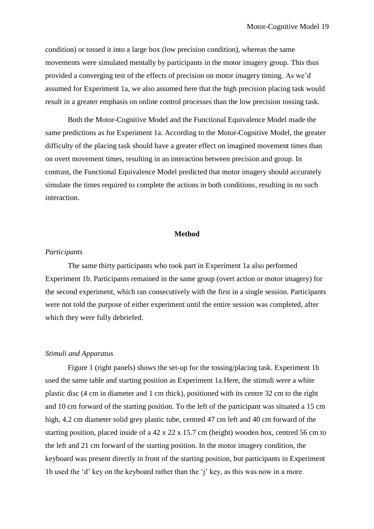condition) or tossed it into a large box (low precision condition), whereas the same movements were simulated mentally by participants in the motor imagery group. This thus provided a converging test of the effects of precision on motor imagery timing. As we'd assumed for Experiment 1a, we also assumed here that the high precision placing task would result in a greater emphasis on online control processes than the low precision tossing task.

Both the Motor-Cognitive Model and the Functional Equivalence Model made the same predictions as for Experiment 1a. According to the Motor-Cognitive Model, the greater difficulty of the placing task should have a greater effect on imagined movement times than on overt movement times, resulting in an interaction between precision and group. In contrast, the Functional Equivalence Model predicted that motor imagery should accurately simulate the times required to complete the actions in both conditions, resulting in no such interaction.

## **Method**

# *Participants*

The same thirty participants who took part in Experiment 1a also performed Experiment 1b. Participants remained in the same group (overt action or motor imagery) for the second experiment, which ran consecutively with the first in a single session. Participants were not told the purpose of either experiment until the entire session was completed, after which they were fully debriefed.

# *Stimuli and Apparatus*

Figure 1 (right panels) shows the set-up for the tossing/placing task. Experiment 1b used the same table and starting position as Experiment 1a.Here, the stimuli were a white plastic disc (4 cm in diameter and 1 cm thick), positioned with its centre 32 cm to the right and 10 cm forward of the starting position. To the left of the participant was situated a 15 cm high, 4.2 cm diameter solid grey plastic tube, centred 47 cm left and 40 cm forward of the starting position, placed inside of a 42 x 22 x 15.7 cm (height) wooden box, centred 56 cm to the left and 21 cm forward of the starting position. In the motor imagery condition, the keyboard was present directly in front of the starting position, but participants in Experiment 1b used the 'd' key on the keyboard rather than the 'j' key, as this was now in a more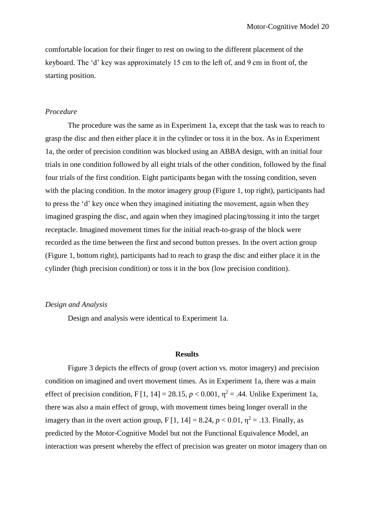comfortable location for their finger to rest on owing to the different placement of the keyboard. The 'd' key was approximately 15 cm to the left of, and 9 cm in front of, the starting position.

# *Procedure*

The procedure was the same as in Experiment 1a, except that the task was to reach to grasp the disc and then either place it in the cylinder or toss it in the box. As in Experiment 1a, the order of precision condition was blocked using an ABBA design, with an initial four trials in one condition followed by all eight trials of the other condition, followed by the final four trials of the first condition. Eight participants began with the tossing condition, seven with the placing condition. In the motor imagery group (Figure 1, top right), participants had to press the 'd' key once when they imagined initiating the movement, again when they imagined grasping the disc, and again when they imagined placing/tossing it into the target receptacle. Imagined movement times for the initial reach-to-grasp of the block were recorded as the time between the first and second button presses. In the overt action group (Figure 1, bottom right), participants had to reach to grasp the disc and either place it in the cylinder (high precision condition) or toss it in the box (low precision condition).

## *Design and Analysis*

Design and analysis were identical to Experiment 1a.

#### **Results**

Figure 3 depicts the effects of group (overt action vs. motor imagery) and precision condition on imagined and overt movement times. As in Experiment 1a, there was a main effect of precision condition, F [1, 14] = 28.15,  $p < 0.001$ ,  $\eta^2 = .44$ . Unlike Experiment 1a, there was also a main effect of group, with movement times being longer overall in the imagery than in the overt action group,  $F[1, 14] = 8.24$ ,  $p < 0.01$ ,  $\eta^2 = .13$ . Finally, as predicted by the Motor-Cognitive Model but not the Functional Equivalence Model, an interaction was present whereby the effect of precision was greater on motor imagery than on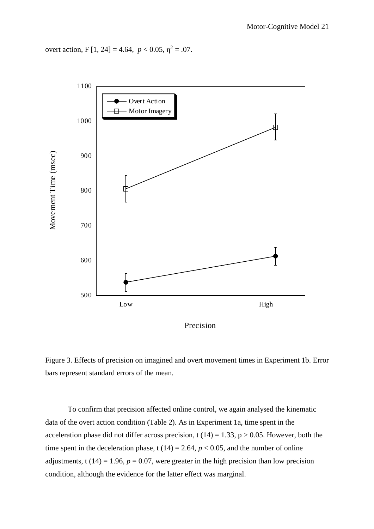overt action, F [1, 24] = 4.64,  $p < 0.05$ ,  $\eta^2 = .07$ .



Precision



To confirm that precision affected online control, we again analysed the kinematic data of the overt action condition (Table 2). As in Experiment 1a, time spent in the acceleration phase did not differ across precision, t (14) = 1.33,  $p > 0.05$ . However, both the time spent in the deceleration phase, t  $(14) = 2.64$ ,  $p < 0.05$ , and the number of online adjustments, t (14) = 1.96,  $p = 0.07$ , were greater in the high precision than low precision condition, although the evidence for the latter effect was marginal.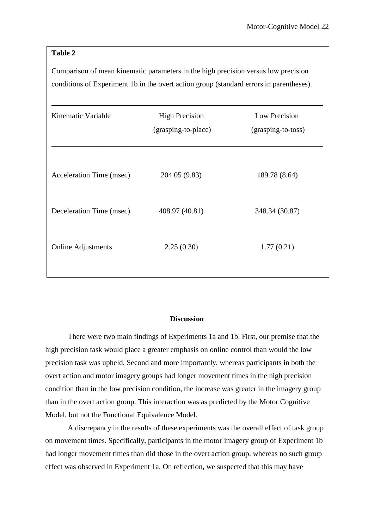# **Table 2**

Comparison of mean kinematic parameters in the high precision versus low precision conditions of Experiment 1b in the overt action group (standard errors in parentheses).

| Kinematic Variable        | <b>High Precision</b><br>(grasping-to-place) | Low Precision<br>(grasping-to-toss) |  |
|---------------------------|----------------------------------------------|-------------------------------------|--|
| Acceleration Time (msec)  | 204.05 (9.83)                                | 189.78 (8.64)                       |  |
| Deceleration Time (msec)  | 408.97 (40.81)                               | 348.34 (30.87)                      |  |
| <b>Online Adjustments</b> | 2.25(0.30)                                   | 1.77(0.21)                          |  |
|                           |                                              |                                     |  |

#### **Discussion**

There were two main findings of Experiments 1a and 1b. First, our premise that the high precision task would place a greater emphasis on online control than would the low precision task was upheld. Second and more importantly, whereas participants in both the overt action and motor imagery groups had longer movement times in the high precision condition than in the low precision condition, the increase was greater in the imagery group than in the overt action group. This interaction was as predicted by the Motor Cognitive Model, but not the Functional Equivalence Model.

A discrepancy in the results of these experiments was the overall effect of task group on movement times. Specifically, participants in the motor imagery group of Experiment 1b had longer movement times than did those in the overt action group, whereas no such group effect was observed in Experiment 1a. On reflection, we suspected that this may have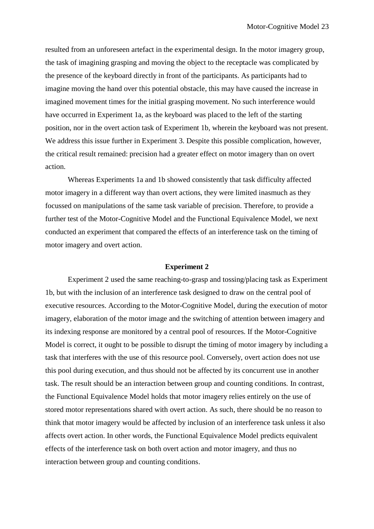resulted from an unforeseen artefact in the experimental design. In the motor imagery group, the task of imagining grasping and moving the object to the receptacle was complicated by the presence of the keyboard directly in front of the participants. As participants had to imagine moving the hand over this potential obstacle, this may have caused the increase in imagined movement times for the initial grasping movement. No such interference would have occurred in Experiment 1a, as the keyboard was placed to the left of the starting position, nor in the overt action task of Experiment 1b, wherein the keyboard was not present. We address this issue further in Experiment 3. Despite this possible complication, however, the critical result remained: precision had a greater effect on motor imagery than on overt action.

Whereas Experiments 1a and 1b showed consistently that task difficulty affected motor imagery in a different way than overt actions, they were limited inasmuch as they focussed on manipulations of the same task variable of precision. Therefore, to provide a further test of the Motor-Cognitive Model and the Functional Equivalence Model, we next conducted an experiment that compared the effects of an interference task on the timing of motor imagery and overt action.

#### **Experiment 2**

Experiment 2 used the same reaching-to-grasp and tossing/placing task as Experiment 1b, but with the inclusion of an interference task designed to draw on the central pool of executive resources. According to the Motor-Cognitive Model, during the execution of motor imagery, elaboration of the motor image and the switching of attention between imagery and its indexing response are monitored by a central pool of resources. If the Motor-Cognitive Model is correct, it ought to be possible to disrupt the timing of motor imagery by including a task that interferes with the use of this resource pool. Conversely, overt action does not use this pool during execution, and thus should not be affected by its concurrent use in another task. The result should be an interaction between group and counting conditions. In contrast, the Functional Equivalence Model holds that motor imagery relies entirely on the use of stored motor representations shared with overt action. As such, there should be no reason to think that motor imagery would be affected by inclusion of an interference task unless it also affects overt action. In other words, the Functional Equivalence Model predicts equivalent effects of the interference task on both overt action and motor imagery, and thus no interaction between group and counting conditions.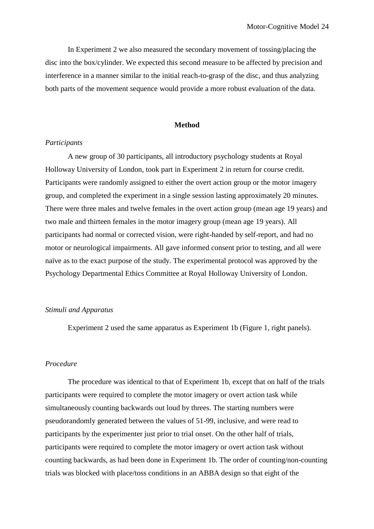In Experiment 2 we also measured the secondary movement of tossing/placing the disc into the box/cylinder. We expected this second measure to be affected by precision and interference in a manner similar to the initial reach-to-grasp of the disc, and thus analyzing both parts of the movement sequence would provide a more robust evaluation of the data.

#### **Method**

## *Participants*

A new group of 30 participants, all introductory psychology students at Royal Holloway University of London, took part in Experiment 2 in return for course credit. Participants were randomly assigned to either the overt action group or the motor imagery group, and completed the experiment in a single session lasting approximately 20 minutes. There were three males and twelve females in the overt action group (mean age 19 years) and two male and thirteen females in the motor imagery group (mean age 19 years). All participants had normal or corrected vision, were right-handed by self-report, and had no motor or neurological impairments. All gave informed consent prior to testing, and all were naïve as to the exact purpose of the study. The experimental protocol was approved by the Psychology Departmental Ethics Committee at Royal Holloway University of London.

## *Stimuli and Apparatus*

Experiment 2 used the same apparatus as Experiment 1b (Figure 1, right panels).

# *Procedure*

The procedure was identical to that of Experiment 1b, except that on half of the trials participants were required to complete the motor imagery or overt action task while simultaneously counting backwards out loud by threes. The starting numbers were pseudorandomly generated between the values of 51-99, inclusive, and were read to participants by the experimenter just prior to trial onset. On the other half of trials, participants were required to complete the motor imagery or overt action task without counting backwards, as had been done in Experiment 1b. The order of counting/non-counting trials was blocked with place/toss conditions in an ABBA design so that eight of the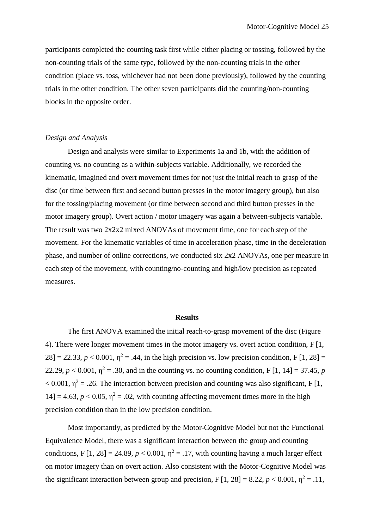participants completed the counting task first while either placing or tossing, followed by the non-counting trials of the same type, followed by the non-counting trials in the other condition (place vs. toss, whichever had not been done previously), followed by the counting trials in the other condition. The other seven participants did the counting/non-counting blocks in the opposite order.

## *Design and Analysis*

Design and analysis were similar to Experiments 1a and 1b, with the addition of counting vs. no counting as a within-subjects variable. Additionally, we recorded the kinematic, imagined and overt movement times for not just the initial reach to grasp of the disc (or time between first and second button presses in the motor imagery group), but also for the tossing/placing movement (or time between second and third button presses in the motor imagery group). Overt action / motor imagery was again a between-subjects variable. The result was two  $2x2x2$  mixed ANOVAs of movement time, one for each step of the movement. For the kinematic variables of time in acceleration phase, time in the deceleration phase, and number of online corrections, we conducted six 2x2 ANOVAs, one per measure in each step of the movement, with counting/no-counting and high/low precision as repeated measures.

#### **Results**

The first ANOVA examined the initial reach-to-grasp movement of the disc (Figure 4). There were longer movement times in the motor imagery vs. overt action condition, F [1,  $28$ ] = 22.33,  $p < 0.001$ ,  $\eta^2 = .44$ , in the high precision vs. low precision condition, F [1, 28] = 22.29,  $p < 0.001$ ,  $\eta^2 = .30$ , and in the counting vs. no counting condition, F [1, 14] = 37.45, p  $< 0.001$ ,  $\eta^2 = .26$ . The interaction between precision and counting was also significant, F [1,  $14$ ] = 4.63,  $p < 0.05$ ,  $\eta^2 = .02$ , with counting affecting movement times more in the high precision condition than in the low precision condition.

Most importantly, as predicted by the Motor-Cognitive Model but not the Functional Equivalence Model, there was a significant interaction between the group and counting conditions, F [1, 28] = 24.89,  $p < 0.001$ ,  $\eta^2 = .17$ , with counting having a much larger effect on motor imagery than on overt action. Also consistent with the Motor-Cognitive Model was the significant interaction between group and precision,  $F[1, 28] = 8.22$ ,  $p < 0.001$ ,  $\eta^2 = .11$ ,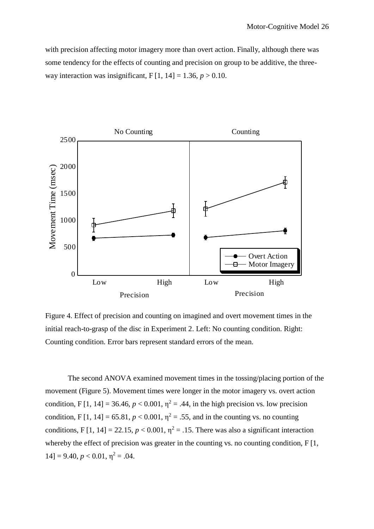with precision affecting motor imagery more than overt action. Finally, although there was some tendency for the effects of counting and precision on group to be additive, the threeway interaction was insignificant,  $F[1, 14] = 1.36, p > 0.10$ .



Figure 4. Effect of precision and counting on imagined and overt movement times in the initial reach-to-grasp of the disc in Experiment 2. Left: No counting condition. Right: Counting condition. Error bars represent standard errors of the mean.

The second ANOVA examined movement times in the tossing/placing portion of the movement (Figure 5). Movement times were longer in the motor imagery vs. overt action condition, F [1, 14] = 36.46,  $p < 0.001$ ,  $\eta^2 = .44$ , in the high precision vs. low precision condition, F [1, 14] = 65.81,  $p < 0.001$ ,  $\eta^2 = .55$ , and in the counting vs. no counting conditions, F [1, 14] = 22.15,  $p < 0.001$ ,  $\eta^2 = .15$ . There was also a significant interaction whereby the effect of precision was greater in the counting vs. no counting condition, F [1,  $14$ ] = 9.40,  $p < 0.01$ ,  $\eta^2 = .04$ .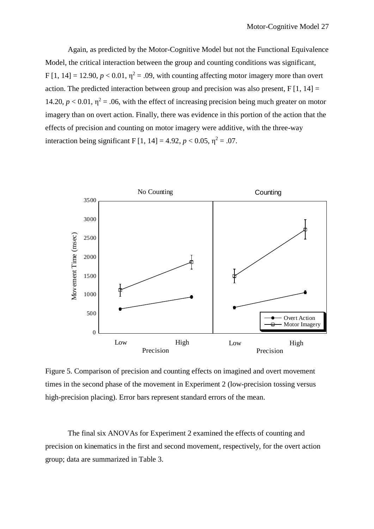Again, as predicted by the Motor-Cognitive Model but not the Functional Equivalence Model, the critical interaction between the group and counting conditions was significant, F [1, 14] = 12.90,  $p < 0.01$ ,  $\eta^2 = .09$ , with counting affecting motor imagery more than overt action. The predicted interaction between group and precision was also present,  $F[1, 14] =$ 14.20,  $p < 0.01$ ,  $\eta^2 = .06$ , with the effect of increasing precision being much greater on motor imagery than on overt action. Finally, there was evidence in this portion of the action that the effects of precision and counting on motor imagery were additive, with the three-way interaction being significant F [1, 14] = 4.92,  $p < 0.05$ ,  $\eta^2 = .07$ .



Figure 5. Comparison of precision and counting effects on imagined and overt movement times in the second phase of the movement in Experiment 2 (low-precision tossing versus high-precision placing). Error bars represent standard errors of the mean.

The final six ANOVAs for Experiment 2 examined the effects of counting and precision on kinematics in the first and second movement, respectively, for the overt action group; data are summarized in Table 3.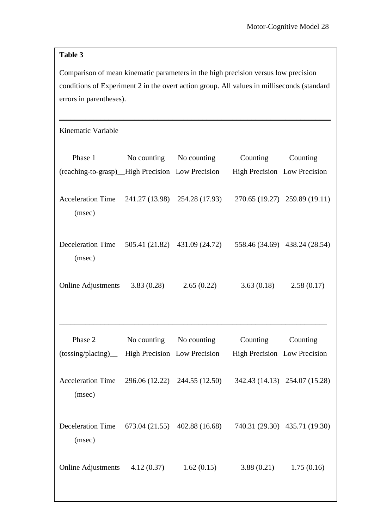# **Table 3**

Comparison of mean kinematic parameters in the high precision versus low precision conditions of Experiment 2 in the overt action group. All values in milliseconds (standard errors in parentheses).

\_\_\_\_\_\_\_\_\_\_\_\_\_\_\_\_\_\_\_\_\_\_\_\_\_\_\_\_\_\_\_\_\_\_\_\_\_\_\_\_\_\_\_\_\_\_\_\_\_\_\_\_\_\_\_\_\_\_\_\_\_\_\_\_\_\_\_\_\_\_\_\_

| Kinematic Variable                                          |                              |                               |                                                 |                               |
|-------------------------------------------------------------|------------------------------|-------------------------------|-------------------------------------------------|-------------------------------|
| Phase 1<br>(reaching-to-grasp) High Precision Low Precision |                              | No counting No counting       | Counting<br><b>High Precision</b> Low Precision | Counting                      |
| <b>Acceleration Time</b><br>(msec)                          |                              | 241.27 (13.98) 254.28 (17.93) |                                                 | 270.65 (19.27) 259.89 (19.11) |
| <b>Deceleration Time</b><br>(msec)                          |                              | 505.41 (21.82) 431.09 (24.72) |                                                 | 558.46 (34.69) 438.24 (28.54) |
| Online Adjustments 3.83 (0.28)                              |                              | 2.65(0.22)                    | 3.63(0.18)                                      | 2.58(0.17)                    |
|                                                             |                              |                               |                                                 |                               |
| Phase 2                                                     | No counting                  | No counting                   | Counting                                        | Counting                      |
| (tossing/placing)                                           | High Precision Low Precision |                               | High Precision Low Precision                    |                               |
| <b>Acceleration Time</b><br>(msec)                          |                              | 296.06 (12.22) 244.55 (12.50) |                                                 | 342.43 (14.13) 254.07 (15.28) |
| Deceleration Time 673.04 (21.55) 402.88 (16.68)<br>(msec)   |                              |                               |                                                 | 740.31 (29.30) 435.71 (19.30) |
| <b>Online Adjustments</b>                                   | 4.12(0.37)                   | 1.62(0.15)                    | 3.88(0.21)                                      | 1.75(0.16)                    |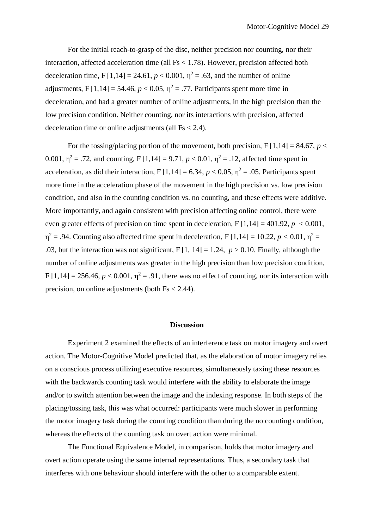For the initial reach-to-grasp of the disc, neither precision nor counting, nor their interaction, affected acceleration time (all Fs < 1.78). However, precision affected both deceleration time,  $F[1,14] = 24.61$ ,  $p < 0.001$ ,  $\eta^2 = .63$ , and the number of online adjustments, F [1,14] = 54.46,  $p < 0.05$ ,  $\eta^2 = .77$ . Participants spent more time in deceleration, and had a greater number of online adjustments, in the high precision than the low precision condition. Neither counting, nor its interactions with precision, affected deceleration time or online adjustments (all  $Fs < 2.4$ ).

For the tossing/placing portion of the movement, both precision,  $F[1,14] = 84.67$ ,  $p <$ 0.001,  $\eta^2 = .72$ , and counting, F [1,14] = 9.71,  $p < 0.01$ ,  $\eta^2 = .12$ , affected time spent in acceleration, as did their interaction,  $F[1,14] = 6.34$ ,  $p < 0.05$ ,  $\eta^2 = .05$ . Participants spent more time in the acceleration phase of the movement in the high precision vs. low precision condition, and also in the counting condition vs. no counting, and these effects were additive. More importantly, and again consistent with precision affecting online control, there were even greater effects of precision on time spent in deceleration,  $F[1,14] = 401.92$ ,  $p < 0.001$ ,  $\eta^2$  = .94. Counting also affected time spent in deceleration, F [1,14] = 10.22, *p* < 0.01,  $\eta^2$  = .03, but the interaction was not significant,  $F[1, 14] = 1.24$ ,  $p > 0.10$ . Finally, although the number of online adjustments was greater in the high precision than low precision condition,  $F[1,14] = 256.46$ ,  $p < 0.001$ ,  $\eta^2 = .91$ , there was no effect of counting, nor its interaction with precision, on online adjustments (both  $Fs < 2.44$ ).

#### **Discussion**

Experiment 2 examined the effects of an interference task on motor imagery and overt action. The Motor-Cognitive Model predicted that, as the elaboration of motor imagery relies on a conscious process utilizing executive resources, simultaneously taxing these resources with the backwards counting task would interfere with the ability to elaborate the image and/or to switch attention between the image and the indexing response. In both steps of the placing/tossing task, this was what occurred: participants were much slower in performing the motor imagery task during the counting condition than during the no counting condition, whereas the effects of the counting task on overt action were minimal.

The Functional Equivalence Model, in comparison, holds that motor imagery and overt action operate using the same internal representations. Thus, a secondary task that interferes with one behaviour should interfere with the other to a comparable extent.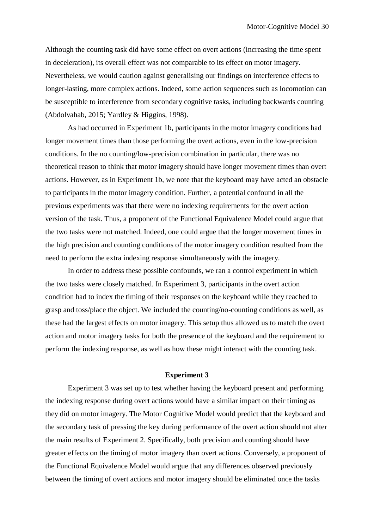Although the counting task did have some effect on overt actions (increasing the time spent in deceleration), its overall effect was not comparable to its effect on motor imagery. Nevertheless, we would caution against generalising our findings on interference effects to longer-lasting, more complex actions. Indeed, some action sequences such as locomotion can be susceptible to interference from secondary cognitive tasks, including backwards counting (Abdolvahab, 2015; Yardley & Higgins, 1998).

As had occurred in Experiment 1b, participants in the motor imagery conditions had longer movement times than those performing the overt actions, even in the low-precision conditions. In the no counting/low-precision combination in particular, there was no theoretical reason to think that motor imagery should have longer movement times than overt actions. However, as in Experiment 1b, we note that the keyboard may have acted an obstacle to participants in the motor imagery condition. Further, a potential confound in all the previous experiments was that there were no indexing requirements for the overt action version of the task. Thus, a proponent of the Functional Equivalence Model could argue that the two tasks were not matched. Indeed, one could argue that the longer movement times in the high precision and counting conditions of the motor imagery condition resulted from the need to perform the extra indexing response simultaneously with the imagery.

In order to address these possible confounds, we ran a control experiment in which the two tasks were closely matched. In Experiment 3, participants in the overt action condition had to index the timing of their responses on the keyboard while they reached to grasp and toss/place the object. We included the counting/no-counting conditions as well, as these had the largest effects on motor imagery. This setup thus allowed us to match the overt action and motor imagery tasks for both the presence of the keyboard and the requirement to perform the indexing response, as well as how these might interact with the counting task.

# **Experiment 3**

Experiment 3 was set up to test whether having the keyboard present and performing the indexing response during overt actions would have a similar impact on their timing as they did on motor imagery. The Motor Cognitive Model would predict that the keyboard and the secondary task of pressing the key during performance of the overt action should not alter the main results of Experiment 2. Specifically, both precision and counting should have greater effects on the timing of motor imagery than overt actions. Conversely, a proponent of the Functional Equivalence Model would argue that any differences observed previously between the timing of overt actions and motor imagery should be eliminated once the tasks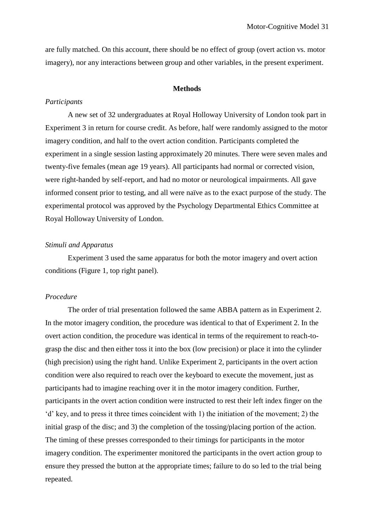are fully matched. On this account, there should be no effect of group (overt action vs. motor imagery), nor any interactions between group and other variables, in the present experiment.

# **Methods**

# *Participants*

A new set of 32 undergraduates at Royal Holloway University of London took part in Experiment 3 in return for course credit. As before, half were randomly assigned to the motor imagery condition, and half to the overt action condition. Participants completed the experiment in a single session lasting approximately 20 minutes. There were seven males and twenty-five females (mean age 19 years). All participants had normal or corrected vision, were right-handed by self-report, and had no motor or neurological impairments. All gave informed consent prior to testing, and all were naïve as to the exact purpose of the study. The experimental protocol was approved by the Psychology Departmental Ethics Committee at Royal Holloway University of London.

# *Stimuli and Apparatus*

Experiment 3 used the same apparatus for both the motor imagery and overt action conditions (Figure 1, top right panel).

## *Procedure*

The order of trial presentation followed the same ABBA pattern as in Experiment 2. In the motor imagery condition, the procedure was identical to that of Experiment 2. In the overt action condition, the procedure was identical in terms of the requirement to reach-tograsp the disc and then either toss it into the box (low precision) or place it into the cylinder (high precision) using the right hand. Unlike Experiment 2, participants in the overt action condition were also required to reach over the keyboard to execute the movement, just as participants had to imagine reaching over it in the motor imagery condition. Further, participants in the overt action condition were instructed to rest their left index finger on the 'd' key, and to press it three times coincident with 1) the initiation of the movement; 2) the initial grasp of the disc; and 3) the completion of the tossing/placing portion of the action. The timing of these presses corresponded to their timings for participants in the motor imagery condition. The experimenter monitored the participants in the overt action group to ensure they pressed the button at the appropriate times; failure to do so led to the trial being repeated.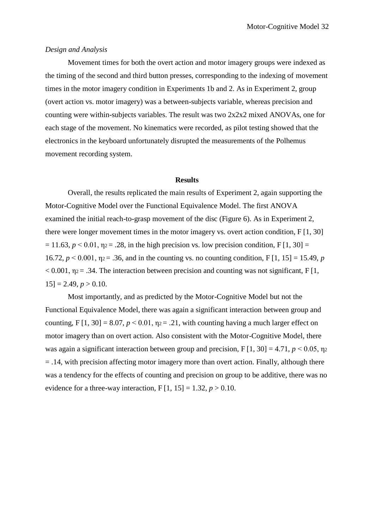## *Design and Analysis*

Movement times for both the overt action and motor imagery groups were indexed as the timing of the second and third button presses, corresponding to the indexing of movement times in the motor imagery condition in Experiments 1b and 2. As in Experiment 2, group (overt action vs. motor imagery) was a between-subjects variable, whereas precision and counting were within-subjects variables. The result was two  $2x2x2$  mixed ANOVAs, one for each stage of the movement. No kinematics were recorded, as pilot testing showed that the electronics in the keyboard unfortunately disrupted the measurements of the Polhemus movement recording system.

#### **Results**

Overall, the results replicated the main results of Experiment 2, again supporting the Motor-Cognitive Model over the Functional Equivalence Model. The first ANOVA examined the initial reach-to-grasp movement of the disc (Figure 6). As in Experiment 2, there were longer movement times in the motor imagery vs. overt action condition, F [1, 30]  $= 11.63$ ,  $p < 0.01$ ,  $p = 0.28$ , in the high precision vs. low precision condition, F [1, 30] = 16.72,  $p < 0.001$ ,  $p = 0.36$ , and in the counting vs. no counting condition, F[1, 15] = 15.49, *p*  $< 0.001$ ,  $\eta$ <sub>2</sub> = .34. The interaction between precision and counting was not significant, F [1,  $15$ ] = 2.49,  $p > 0.10$ .

Most importantly, and as predicted by the Motor-Cognitive Model but not the Functional Equivalence Model, there was again a significant interaction between group and counting, F  $[1, 30] = 8.07$ ,  $p < 0.01$ ,  $p = 0.21$ , with counting having a much larger effect on motor imagery than on overt action. Also consistent with the Motor-Cognitive Model, there was again a significant interaction between group and precision,  $F[1, 30] = 4.71$ ,  $p < 0.05$ ,  $p_2$  $=$  .14, with precision affecting motor imagery more than overt action. Finally, although there was a tendency for the effects of counting and precision on group to be additive, there was no evidence for a three-way interaction,  $F[1, 15] = 1.32, p > 0.10$ .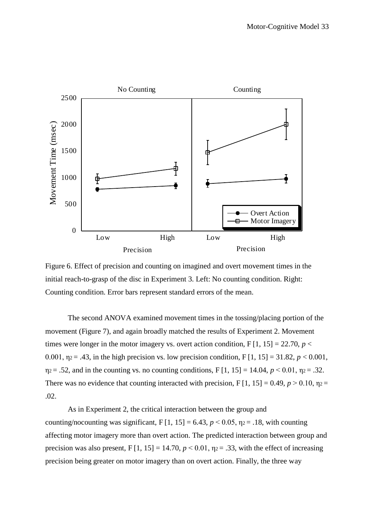

Figure 6. Effect of precision and counting on imagined and overt movement times in the initial reach-to-grasp of the disc in Experiment 3. Left: No counting condition. Right: Counting condition. Error bars represent standard errors of the mean.

The second ANOVA examined movement times in the tossing/placing portion of the movement (Figure 7), and again broadly matched the results of Experiment 2. Movement times were longer in the motor imagery vs. overt action condition,  $F[1, 15] = 22.70$ ,  $p <$ 0.001,  $\eta_2 = .43$ , in the high precision vs. low precision condition, F [1, 15] = 31.82,  $p < 0.001$ ,  $\eta_2 = .52$ , and in the counting vs. no counting conditions, F [1, 15] = 14.04,  $p \le 0.01$ ,  $\eta_2 = .32$ . There was no evidence that counting interacted with precision,  $F[1, 15] = 0.49$ ,  $p > 0.10$ ,  $p =$ .02.

As in Experiment 2, the critical interaction between the group and counting/nocounting was significant,  $F[1, 15] = 6.43$ ,  $p < 0.05$ ,  $p_2 = .18$ , with counting affecting motor imagery more than overt action. The predicted interaction between group and precision was also present,  $F[1, 15] = 14.70$ ,  $p < 0.01$ ,  $p = .33$ , with the effect of increasing precision being greater on motor imagery than on overt action. Finally, the three way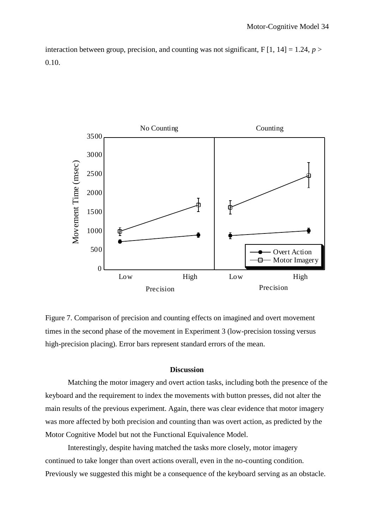interaction between group, precision, and counting was not significant,  $F[1, 14] = 1.24$ ,  $p >$ 0.10.



Figure 7. Comparison of precision and counting effects on imagined and overt movement times in the second phase of the movement in Experiment 3 (low-precision tossing versus high-precision placing). Error bars represent standard errors of the mean.

## **Discussion**

Matching the motor imagery and overt action tasks, including both the presence of the keyboard and the requirement to index the movements with button presses, did not alter the main results of the previous experiment. Again, there was clear evidence that motor imagery was more affected by both precision and counting than was overt action, as predicted by the Motor Cognitive Model but not the Functional Equivalence Model.

Interestingly, despite having matched the tasks more closely, motor imagery continued to take longer than overt actions overall, even in the no-counting condition. Previously we suggested this might be a consequence of the keyboard serving as an obstacle.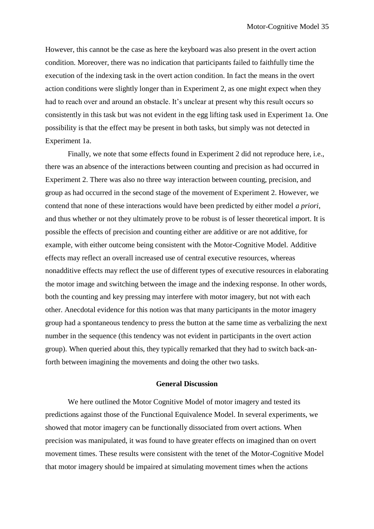However, this cannot be the case as here the keyboard was also present in the overt action condition. Moreover, there was no indication that participants failed to faithfully time the execution of the indexing task in the overt action condition. In fact the means in the overt action conditions were slightly longer than in Experiment 2, as one might expect when they had to reach over and around an obstacle. It's unclear at present why this result occurs so consistently in this task but was not evident in the egg lifting task used in Experiment 1a. One possibility is that the effect may be present in both tasks, but simply was not detected in Experiment 1a.

Finally, we note that some effects found in Experiment 2 did not reproduce here, i.e., there was an absence of the interactions between counting and precision as had occurred in Experiment 2. There was also no three way interaction between counting, precision, and group as had occurred in the second stage of the movement of Experiment 2. However, we contend that none of these interactions would have been predicted by either model *a priori*, and thus whether or not they ultimately prove to be robust is of lesser theoretical import. It is possible the effects of precision and counting either are additive or are not additive, for example, with either outcome being consistent with the Motor-Cognitive Model. Additive effects may reflect an overall increased use of central executive resources, whereas nonadditive effects may reflect the use of different types of executive resources in elaborating the motor image and switching between the image and the indexing response. In other words, both the counting and key pressing may interfere with motor imagery, but not with each other. Anecdotal evidence for this notion was that many participants in the motor imagery group had a spontaneous tendency to press the button at the same time as verbalizing the next number in the sequence (this tendency was not evident in participants in the overt action group). When queried about this, they typically remarked that they had to switch back-anforth between imagining the movements and doing the other two tasks.

# **General Discussion**

We here outlined the Motor Cognitive Model of motor imagery and tested its predictions against those of the Functional Equivalence Model. In several experiments, we showed that motor imagery can be functionally dissociated from overt actions. When precision was manipulated, it was found to have greater effects on imagined than on overt movement times. These results were consistent with the tenet of the Motor-Cognitive Model that motor imagery should be impaired at simulating movement times when the actions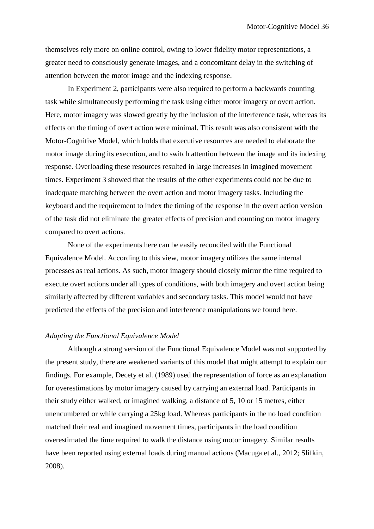themselves rely more on online control, owing to lower fidelity motor representations, a greater need to consciously generate images, and a concomitant delay in the switching of attention between the motor image and the indexing response.

In Experiment 2, participants were also required to perform a backwards counting task while simultaneously performing the task using either motor imagery or overt action. Here, motor imagery was slowed greatly by the inclusion of the interference task, whereas its effects on the timing of overt action were minimal. This result was also consistent with the Motor-Cognitive Model, which holds that executive resources are needed to elaborate the motor image during its execution, and to switch attention between the image and its indexing response. Overloading these resources resulted in large increases in imagined movement times. Experiment 3 showed that the results of the other experiments could not be due to inadequate matching between the overt action and motor imagery tasks. Including the keyboard and the requirement to index the timing of the response in the overt action version of the task did not eliminate the greater effects of precision and counting on motor imagery compared to overt actions.

None of the experiments here can be easily reconciled with the Functional Equivalence Model. According to this view, motor imagery utilizes the same internal processes as real actions. As such, motor imagery should closely mirror the time required to execute overt actions under all types of conditions, with both imagery and overt action being similarly affected by different variables and secondary tasks. This model would not have predicted the effects of the precision and interference manipulations we found here.

#### *Adapting the Functional Equivalence Model*

Although a strong version of the Functional Equivalence Model was not supported by the present study, there are weakened variants of this model that might attempt to explain our findings. For example, Decety et al. (1989) used the representation of force as an explanation for overestimations by motor imagery caused by carrying an external load. Participants in their study either walked, or imagined walking, a distance of 5, 10 or 15 metres, either unencumbered or while carrying a 25kg load. Whereas participants in the no load condition matched their real and imagined movement times, participants in the load condition overestimated the time required to walk the distance using motor imagery. Similar results have been reported using external loads during manual actions (Macuga et al., 2012; Slifkin, 2008).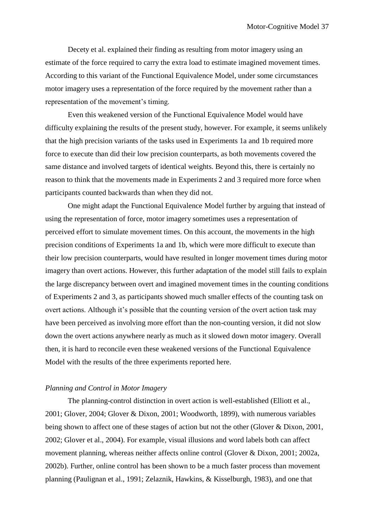Decety et al. explained their finding as resulting from motor imagery using an estimate of the force required to carry the extra load to estimate imagined movement times. According to this variant of the Functional Equivalence Model, under some circumstances motor imagery uses a representation of the force required by the movement rather than a representation of the movement's timing.

Even this weakened version of the Functional Equivalence Model would have difficulty explaining the results of the present study, however. For example, it seems unlikely that the high precision variants of the tasks used in Experiments 1a and 1b required more force to execute than did their low precision counterparts, as both movements covered the same distance and involved targets of identical weights. Beyond this, there is certainly no reason to think that the movements made in Experiments 2 and 3 required more force when participants counted backwards than when they did not.

One might adapt the Functional Equivalence Model further by arguing that instead of using the representation of force, motor imagery sometimes uses a representation of perceived effort to simulate movement times. On this account, the movements in the high precision conditions of Experiments 1a and 1b, which were more difficult to execute than their low precision counterparts, would have resulted in longer movement times during motor imagery than overt actions. However, this further adaptation of the model still fails to explain the large discrepancy between overt and imagined movement times in the counting conditions of Experiments 2 and 3, as participants showed much smaller effects of the counting task on overt actions. Although it's possible that the counting version of the overt action task may have been perceived as involving more effort than the non-counting version, it did not slow down the overt actions anywhere nearly as much as it slowed down motor imagery. Overall then, it is hard to reconcile even these weakened versions of the Functional Equivalence Model with the results of the three experiments reported here.

# *Planning and Control in Motor Imagery*

The planning-control distinction in overt action is well-established (Elliott et al., 2001; Glover, 2004; Glover & Dixon, 2001; Woodworth, 1899), with numerous variables being shown to affect one of these stages of action but not the other (Glover & Dixon, 2001, 2002; Glover et al., 2004). For example, visual illusions and word labels both can affect movement planning, whereas neither affects online control (Glover & Dixon, 2001; 2002a, 2002b). Further, online control has been shown to be a much faster process than movement planning (Paulignan et al., 1991; Zelaznik, Hawkins, & Kisselburgh, 1983), and one that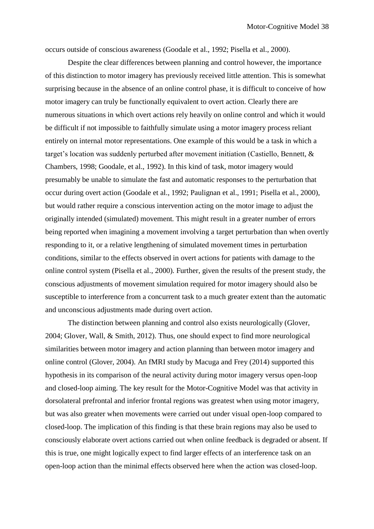occurs outside of conscious awareness (Goodale et al., 1992; Pisella et al., 2000).

Despite the clear differences between planning and control however, the importance of this distinction to motor imagery has previously received little attention. This is somewhat surprising because in the absence of an online control phase, it is difficult to conceive of how motor imagery can truly be functionally equivalent to overt action. Clearly there are numerous situations in which overt actions rely heavily on online control and which it would be difficult if not impossible to faithfully simulate using a motor imagery process reliant entirely on internal motor representations. One example of this would be a task in which a target's location was suddenly perturbed after movement initiation (Castiello, Bennett, & Chambers, 1998; Goodale, et al., 1992). In this kind of task, motor imagery would presumably be unable to simulate the fast and automatic responses to the perturbation that occur during overt action (Goodale et al., 1992; Paulignan et al., 1991; Pisella et al., 2000), but would rather require a conscious intervention acting on the motor image to adjust the originally intended (simulated) movement. This might result in a greater number of errors being reported when imagining a movement involving a target perturbation than when overtly responding to it, or a relative lengthening of simulated movement times in perturbation conditions, similar to the effects observed in overt actions for patients with damage to the online control system (Pisella et al., 2000). Further, given the results of the present study, the conscious adjustments of movement simulation required for motor imagery should also be susceptible to interference from a concurrent task to a much greater extent than the automatic and unconscious adjustments made during overt action.

The distinction between planning and control also exists neurologically (Glover, 2004; Glover, Wall, & Smith, 2012). Thus, one should expect to find more neurological similarities between motor imagery and action planning than between motor imagery and online control (Glover, 2004). An fMRI study by Macuga and Frey (2014) supported this hypothesis in its comparison of the neural activity during motor imagery versus open-loop and closed-loop aiming. The key result for the Motor-Cognitive Model was that activity in dorsolateral prefrontal and inferior frontal regions was greatest when using motor imagery, but was also greater when movements were carried out under visual open-loop compared to closed-loop. The implication of this finding is that these brain regions may also be used to consciously elaborate overt actions carried out when online feedback is degraded or absent. If this is true, one might logically expect to find larger effects of an interference task on an open-loop action than the minimal effects observed here when the action was closed-loop.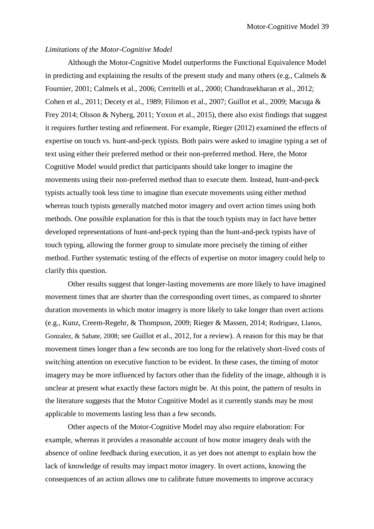## *Limitations of the Motor-Cognitive Model*

Although the Motor-Cognitive Model outperforms the Functional Equivalence Model in predicting and explaining the results of the present study and many others (e.g., Calmels  $\&$ Fournier, 2001; Calmels et al., 2006; Cerritelli et al., 2000; Chandrasekharan et al., 2012; Cohen et al., 2011; Decety et al., 1989; Filimon et al., 2007; Guillot et al., 2009; Macuga & Frey 2014; Olsson & Nyberg, 2011; Yoxon et al., 2015), there also exist findings that suggest it requires further testing and refinement. For example, Rieger (2012) examined the effects of expertise on touch vs. hunt-and-peck typists. Both pairs were asked to imagine typing a set of text using either their preferred method or their non-preferred method. Here, the Motor Cognitive Model would predict that participants should take longer to imagine the movements using their non-preferred method than to execute them. Instead, hunt-and-peck typists actually took less time to imagine than execute movements using either method whereas touch typists generally matched motor imagery and overt action times using both methods. One possible explanation for this is that the touch typists may in fact have better developed representations of hunt-and-peck typing than the hunt-and-peck typists have of touch typing, allowing the former group to simulate more precisely the timing of either method. Further systematic testing of the effects of expertise on motor imagery could help to clarify this question.

Other results suggest that longer-lasting movements are more likely to have imagined movement times that are shorter than the corresponding overt times, as compared to shorter duration movements in which motor imagery is more likely to take longer than overt actions (e.g., Kunz, Creem-Regehr, & Thompson, 2009; Rieger & Massen, 2014; Rodriguez, Llanos, Gonzalez, & Sabate, 2008; see Guillot et al., 2012, for a review). A reason for this may be that movement times longer than a few seconds are too long for the relatively short-lived costs of switching attention on executive function to be evident. In these cases, the timing of motor imagery may be more influenced by factors other than the fidelity of the image, although it is unclear at present what exactly these factors might be. At this point, the pattern of results in the literature suggests that the Motor Cognitive Model as it currently stands may be most applicable to movements lasting less than a few seconds.

Other aspects of the Motor-Cognitive Model may also require elaboration: For example, whereas it provides a reasonable account of how motor imagery deals with the absence of online feedback during execution, it as yet does not attempt to explain how the lack of knowledge of results may impact motor imagery. In overt actions, knowing the consequences of an action allows one to calibrate future movements to improve accuracy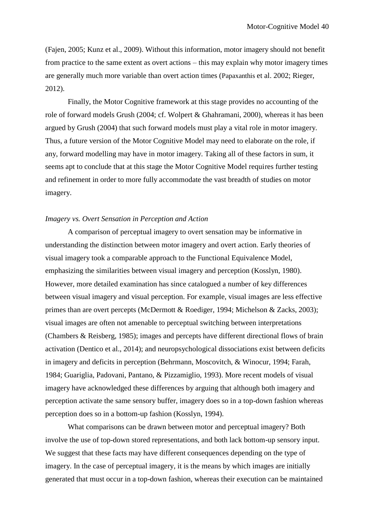(Fajen, 2005; Kunz et al., 2009). Without this information, motor imagery should not benefit from practice to the same extent as overt actions – this may explain why motor imagery times are generally much more variable than overt action times (Papaxanthis et al. 2002; Rieger, 2012).

Finally, the Motor Cognitive framework at this stage provides no accounting of the role of forward models Grush (2004; cf. Wolpert & Ghahramani, 2000), whereas it has been argued by Grush (2004) that such forward models must play a vital role in motor imagery. Thus, a future version of the Motor Cognitive Model may need to elaborate on the role, if any, forward modelling may have in motor imagery. Taking all of these factors in sum, it seems apt to conclude that at this stage the Motor Cognitive Model requires further testing and refinement in order to more fully accommodate the vast breadth of studies on motor imagery.

# *Imagery vs. Overt Sensation in Perception and Action*

A comparison of perceptual imagery to overt sensation may be informative in understanding the distinction between motor imagery and overt action. Early theories of visual imagery took a comparable approach to the Functional Equivalence Model, emphasizing the similarities between visual imagery and perception (Kosslyn, 1980). However, more detailed examination has since catalogued a number of key differences between visual imagery and visual perception. For example, visual images are less effective primes than are overt percepts (McDermott & Roediger, 1994; Michelson & Zacks, 2003); visual images are often not amenable to perceptual switching between interpretations (Chambers & Reisberg, 1985); images and percepts have different directional flows of brain activation (Dentico et al., 2014); and neuropsychological dissociations exist between deficits in imagery and deficits in perception (Behrmann, Moscovitch, & Winocur, 1994; Farah, 1984; Guariglia, Padovani, Pantano, & Pizzamiglio, 1993). More recent models of visual imagery have acknowledged these differences by arguing that although both imagery and perception activate the same sensory buffer, imagery does so in a top-down fashion whereas perception does so in a bottom-up fashion (Kosslyn, 1994).

What comparisons can be drawn between motor and perceptual imagery? Both involve the use of top-down stored representations, and both lack bottom-up sensory input. We suggest that these facts may have different consequences depending on the type of imagery. In the case of perceptual imagery, it is the means by which images are initially generated that must occur in a top-down fashion, whereas their execution can be maintained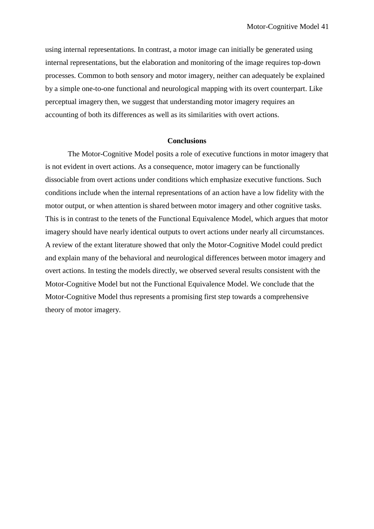using internal representations. In contrast, a motor image can initially be generated using internal representations, but the elaboration and monitoring of the image requires top-down processes. Common to both sensory and motor imagery, neither can adequately be explained by a simple one-to-one functional and neurological mapping with its overt counterpart. Like perceptual imagery then, we suggest that understanding motor imagery requires an accounting of both its differences as well as its similarities with overt actions.

# **Conclusions**

The Motor-Cognitive Model posits a role of executive functions in motor imagery that is not evident in overt actions. As a consequence, motor imagery can be functionally dissociable from overt actions under conditions which emphasize executive functions. Such conditions include when the internal representations of an action have a low fidelity with the motor output, or when attention is shared between motor imagery and other cognitive tasks. This is in contrast to the tenets of the Functional Equivalence Model, which argues that motor imagery should have nearly identical outputs to overt actions under nearly all circumstances. A review of the extant literature showed that only the Motor-Cognitive Model could predict and explain many of the behavioral and neurological differences between motor imagery and overt actions. In testing the models directly, we observed several results consistent with the Motor-Cognitive Model but not the Functional Equivalence Model. We conclude that the Motor-Cognitive Model thus represents a promising first step towards a comprehensive theory of motor imagery.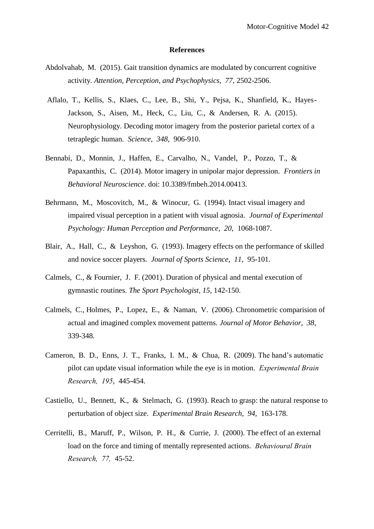### **References**

- Abdolvahab, M. (2015). Gait transition dynamics are modulated by concurrent cognitive activity. *Attention, Perception, and Psychophysics, 77,* 2502-2506.
- Aflalo, T., Kellis, S., Klaes, C., Lee, B., Shi, Y., Pejsa, K., Shanfield, K., Hayes-Jackson, S., Aisen, M., Heck, C., Liu, C., & Andersen, R. A. (2015). Neurophysiology. Decoding motor imagery from the posterior parietal cortex of a tetraplegic human. *Science, 348,* 906-910.
- Bennabi, D., Monnin, J., Haffen, E., Carvalho, N., Vandel, P., Pozzo, T., & Papaxanthis, C. (2014). Motor imagery in unipolar major depression. *Frontiers in Behavioral Neuroscience*. doi: 10.3389/fmbeh.2014.00413.
- Behrmann, M., Moscovitch, M., & Winocur, G. (1994). Intact visual imagery and impaired visual perception in a patient with visual agnosia. *Journal of Experimental Psychology: Human Perception and Performance, 20,* 1068-1087.
- Blair, A., Hall, C., & Leyshon, G. (1993). Imagery effects on the performance of skilled and novice soccer players. *Journal of Sports Science, 11,* 95-101.
- Calmels, C., & Fournier, J. F. (2001). Duration of physical and mental execution of gymnastic routines. *The Sport Psychologist, 15,* 142-150.
- Calmels, C., Holmes, P., Lopez, E., & Naman, V. (2006). Chronometric comparision of actual and imagined complex movement patterns. *Journal of Motor Behavior, 38,*  339-348.
- Cameron, B. D., Enns, J. T., Franks, I. M., & Chua, R. (2009). The hand's automatic pilot can update visual information while the eye is in motion. *Experimental Brain Research, 195*, 445-454.
- Castiello, U., Bennett, K., & Stelmach, G. (1993). Reach to grasp: the natural response to perturbation of object size. *Experimental Brain Research, 94,* 163-178.
- Cerritelli, B., Maruff, P., Wilson, P. H., & Currie, J. (2000). The effect of an external load on the force and timing of mentally represented actions. *Behavioural Brain Research, 77,* 45-52.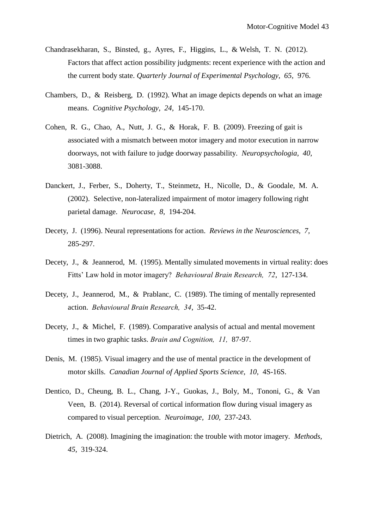- Chandrasekharan, S., Binsted, g., Ayres, F., Higgins, L., & Welsh, T. N. (2012). Factors that affect action possibility judgments: recent experience with the action and the current body state. *Quarterly Journal of Experimental Psychology, 65,* 976.
- Chambers, D., & Reisberg, D. (1992). What an image depicts depends on what an image means. *Cognitive Psychology, 24,* 145-170.
- Cohen, R. G., Chao, A., Nutt, J. G., & Horak, F. B. (2009). Freezing of gait is associated with a mismatch between motor imagery and motor execution in narrow doorways, not with failure to judge doorway passability. *Neuropsychologia, 40,*  3081-3088.
- Danckert, J., Ferber, S., Doherty, T., Steinmetz, H., Nicolle, D., & Goodale, M. A. (2002). Selective, non-lateralized impairment of motor imagery following right parietal damage. *Neurocase, 8,* 194-204.
- Decety, J. (1996). Neural representations for action. *Reviews in the Neurosciences, 7,*  285-297.
- Decety, J., & Jeannerod, M. (1995). Mentally simulated movements in virtual reality: does Fitts' Law hold in motor imagery? *Behavioural Brain Research, 72*, 127-134.
- Decety, J., Jeannerod, M., & Prablanc, C. (1989). The timing of mentally represented action. *Behavioural Brain Research, 34*, 35-42.
- Decety, J., & Michel, F. (1989). Comparative analysis of actual and mental movement times in two graphic tasks. *Brain and Cognition, 11,* 87-97.
- Denis, M. (1985). Visual imagery and the use of mental practice in the development of motor skills. *Canadian Journal of Applied Sports Science, 10,* 4S-16S.
- Dentico, D., Cheung, B. L., Chang, J-Y., Guokas, J., Boly, M., Tononi, G., & Van Veen, B. (2014). Reversal of cortical information flow during visual imagery as compared to visual perception. *Neuroimage, 100,* 237-243.
- Dietrich, A. (2008). Imagining the imagination: the trouble with motor imagery. *Methods, 45,* 319-324.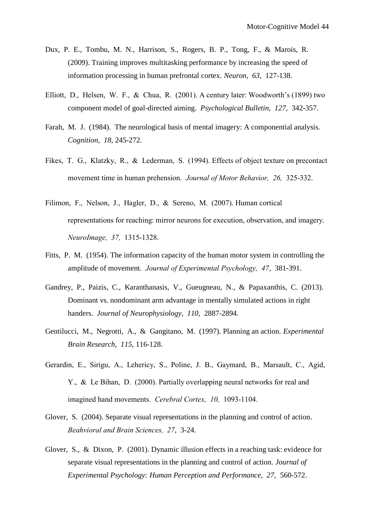- Dux, P. E., Tombu, M. N., Harrison, S., Rogers, B. P., Tong, F., & Marois, R. (2009). Training improves multitasking performance by increasing the speed of information processing in human prefrontal cortex. *Neuron, 63,* 127-138.
- Elliott, D., Helsen, W. F., & Chua, R. (2001). A century later: Woodworth's (1899) two component model of goal-directed aiming. *Psychological Bulletin, 127,* 342-357.
- Farah, M. J. (1984). The neurological basis of mental imagery: A componential analysis. *Cognition, 18,* 245-272.
- Fikes, T. G., Klatzky, R., & Lederman, S. (1994). Effects of object texture on precontact movement time in human prehension. *Journal of Motor Behavior, 26,* 325-332.
- Filimon, F., Nelson, J., Hagler, D., & Sereno, M. (2007). Human cortical representations for reaching: mirror neurons for execution, observation, and imagery. *NeuroImage, 37,* 1315-1328.
- Fitts, P. M. (1954). The information capacity of the human motor system in controlling the amplitude of movement. *Journal of Experimental Psychology, 47*, 381-391.
- Gandrey, P., Paizis, C., Karanthanasis, V., Gueugneau, N., & Papaxanthis, C. (2013). Dominant vs. nondominant arm advantage in mentally simulated actions in right handers. *Journal of Neurophysiology, 110,* 2887-2894.
- Gentilucci, M., Negrotti, A., & Gangitano, M. (1997). Planning an action. *Experimental Brain Research, 115,* 116-128.
- Gerardin, E., Sirigu, A., Lehericy, S., Poline, J. B., Gaymard, B., Marsault, C., Agid, Y., & Le Bihan, D. (2000). Partially overlapping neural networks for real and imagined hand movements. *Cerebral Cortex, 10,* 1093-1104.
- Glover, S. (2004). Separate visual representations in the planning and control of action. *Beahvioral and Brain Sciences, 27*, 3-24.
- Glover, S., & Dixon, P. (2001). Dynamic illusion effects in a reaching task: evidence for separate visual representations in the planning and control of action. *Journal of Experimental Psychology: Human Perception and Performance, 27,* 560-572.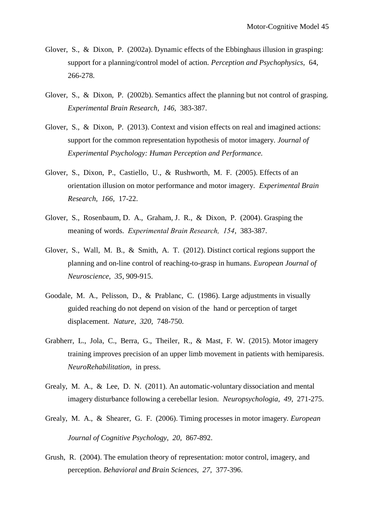- Glover, S., & Dixon, P. (2002a). Dynamic effects of the Ebbinghaus illusion in grasping: support for a planning/control model of action. *Perception and Psychophysics,* 64, 266-278.
- Glover, S., & Dixon, P. (2002b). Semantics affect the planning but not control of grasping. *Experimental Brain Research, 146,* 383-387.
- Glover, S., & Dixon, P. (2013). Context and vision effects on real and imagined actions: support for the common representation hypothesis of motor imagery. *Journal of Experimental Psychology: Human Perception and Performance.*
- Glover, S., Dixon, P., Castiello, U., & Rushworth, M. F. (2005). Effects of an orientation illusion on motor performance and motor imagery. *Experimental Brain Research, 166,* 17-22.
- Glover, S., Rosenbaum, D. A., Graham, J. R., & Dixon, P. (2004). Grasping the meaning of words. *Experimental Brain Research, 154*, 383-387.
- Glover, S., Wall, M. B., & Smith, A. T. (2012). Distinct cortical regions support the planning and on-line control of reaching-to-grasp in humans. *European Journal of Neuroscience, 35*, 909-915.
- Goodale, M. A., Pelisson, D., & Prablanc, C. (1986). Large adjustments in visually guided reaching do not depend on vision of the hand or perception of target displacement. *Nature, 320,* 748-750.
- Grabherr, L., Jola, C., Berra, G., Theiler, R., & Mast, F. W. (2015). Motor imagery training improves precision of an upper limb movement in patients with hemiparesis. *NeuroRehabilitation,* in press.
- Grealy, M. A., & Lee, D. N. (2011). An automatic-voluntary dissociation and mental imagery disturbance following a cerebellar lesion. *Neuropsychologia, 49,* 271-275.
- Grealy, M. A., & Shearer, G. F. (2006). Timing processes in motor imagery. *European Journal of Cognitive Psychology, 20,* 867-892.
- Grush, R. (2004). The emulation theory of representation: motor control, imagery, and perception. *Behavioral and Brain Sciences, 27,* 377-396.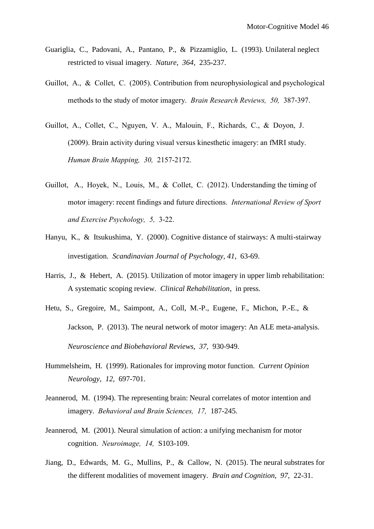- Guariglia, C., Padovani, A., Pantano, P., & Pizzamiglio, L. (1993). Unilateral neglect restricted to visual imagery. *Nature, 364,* 235-237.
- Guillot, A., & Collet, C. (2005). Contribution from neurophysiological and psychological methods to the study of motor imagery. *Brain Research Reviews, 50,* 387-397.
- Guillot, A., Collet, C., Nguyen, V. A., Malouin, F., Richards, C., & Doyon, J. (2009). Brain activity during visual versus kinesthetic imagery: an fMRI study. *Human Brain Mapping, 30,* 2157-2172.
- Guillot, A., Hoyek, N., Louis, M., & Collet, C. (2012). Understanding the timing of motor imagery: recent findings and future directions. *International Review of Sport and Exercise Psychology, 5,* 3-22.
- Hanyu, K., & Itsukushima, Y. (2000). Cognitive distance of stairways: A multi-stairway investigation. *Scandinavian Journal of Psychology, 41,* 63-69.
- Harris, J., & Hebert, A. (2015). Utilization of motor imagery in upper limb rehabilitation: A systematic scoping review. *Clinical Rehabilitation*, in press.
- Hetu, S., Gregoire, M., Saimpont, A., Coll, M.-P., Eugene, F., Michon, P.-E., & Jackson, P. (2013). The neural network of motor imagery: An ALE meta-analysis. *Neuroscience and Biobehavioral Reviews, 37,* 930-949.
- Hummelsheim, H. (1999). Rationales for improving motor function. *Current Opinion Neurology, 12,* 697-701.
- Jeannerod, M. (1994). The representing brain: Neural correlates of motor intention and imagery. *Behavioral and Brain Sciences, 17,* 187-245.
- Jeannerod, M. (2001). Neural simulation of action: a unifying mechanism for motor cognition. *Neuroimage, 14,* S103-109.
- Jiang, D., Edwards, M. G., Mullins, P., & Callow, N. (2015). The neural substrates for the different modalities of movement imagery. *Brain and Cognition, 97,* 22-31.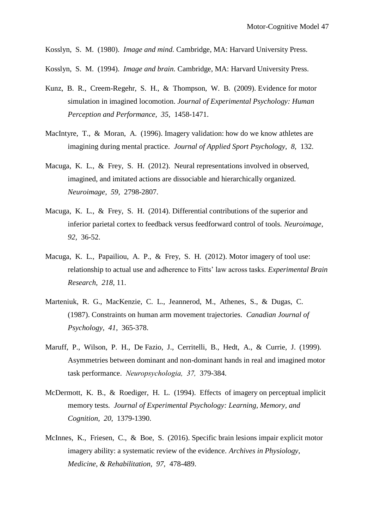Kosslyn, S. M. (1980). *Image and mind.* Cambridge, MA: Harvard University Press.

Kosslyn, S. M. (1994). *Image and brain.* Cambridge, MA: Harvard University Press.

- Kunz, B. R., Creem-Regehr, S. H., & Thompson, W. B. (2009). Evidence for motor simulation in imagined locomotion. *Journal of Experimental Psychology: Human Perception and Performance, 35,* 1458-1471.
- MacIntyre, T., & Moran, A. (1996). Imagery validation: how do we know athletes are imagining during mental practice. *Journal of Applied Sport Psychology, 8,* 132.
- Macuga, K. L., & Frey, S. H. (2012). Neural representations involved in observed, imagined, and imitated actions are dissociable and hierarchically organized. *Neuroimage, 59,* 2798-2807.
- Macuga, K. L., & Frey, S. H. (2014). Differential contributions of the superior and inferior parietal cortex to feedback versus feedforward control of tools. *Neuroimage, 92,* 36-52.
- Macuga, K. L., Papailiou, A. P., & Frey, S. H. (2012). Motor imagery of tool use: relationship to actual use and adherence to Fitts' law across tasks. *Experimental Brain Research, 218,* 11.
- Marteniuk, R. G., MacKenzie, C. L., Jeannerod, M., Athenes, S., & Dugas, C. (1987). Constraints on human arm movement trajectories. *Canadian Journal of Psychology, 41,* 365-378.
- Maruff, P., Wilson, P. H., De Fazio, J., Cerritelli, B., Hedt, A., & Currie, J. (1999). Asymmetries between dominant and non-dominant hands in real and imagined motor task performance. *Neuropsychologia, 37,* 379-384.
- McDermott, K. B., & Roediger, H. L. (1994). Effects of imagery on perceptual implicit memory tests. *Journal of Experimental Psychology: Learning, Memory, and Cognition, 20,* 1379-1390.
- McInnes, K., Friesen, C., & Boe, S. (2016). Specific brain lesions impair explicit motor imagery ability: a systematic review of the evidence. *Archives in Physiology, Medicine, & Rehabilitation, 97,* 478-489.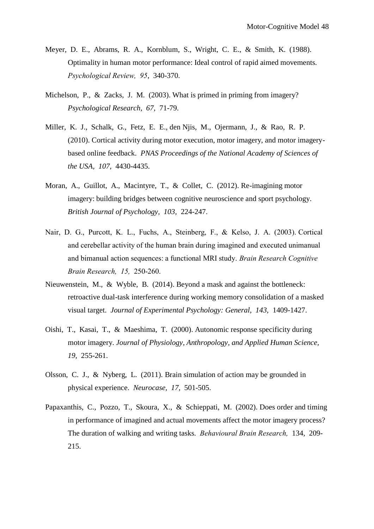- Meyer, D. E., Abrams, R. A., Kornblum, S., Wright, C. E., & Smith, K. (1988). Optimality in human motor performance: Ideal control of rapid aimed movements. *Psychological Review, 95*, 340-370.
- Michelson, P., & Zacks, J. M. (2003). What is primed in priming from imagery? *Psychological Research, 67,* 71-79.
- Miller, K. J., Schalk, G., Fetz, E. E., den Njis, M., Ojermann, J., & Rao, R. P. (2010). Cortical activity during motor execution, motor imagery, and motor imagerybased online feedback. *PNAS Proceedings of the National Academy of Sciences of the USA, 107,* 4430-4435.
- Moran, A., Guillot, A., Macintyre, T., & Collet, C. (2012). Re-imagining motor imagery: building bridges between cognitive neuroscience and sport psychology. *British Journal of Psychology, 103,* 224-247.
- Nair, D. G., Purcott, K. L., Fuchs, A., Steinberg, F., & Kelso, J. A. (2003). Cortical and cerebellar activity of the human brain during imagined and executed unimanual and bimanual action sequences: a functional MRI study. *Brain Research Cognitive Brain Research, 15,* 250-260.
- Nieuwenstein, M., & Wyble, B. (2014). Beyond a mask and against the bottleneck: retroactive dual-task interference during working memory consolidation of a masked visual target. *Journal of Experimental Psychology: General, 143,* 1409-1427.
- Oishi, T., Kasai, T., & Maeshima, T. (2000). Autonomic response specificity during motor imagery. *Journal of Physiology, Anthropology, and Applied Human Science, 19,* 255-261.
- Olsson, C. J., & Nyberg, L. (2011). Brain simulation of action may be grounded in physical experience. *Neurocase, 17,* 501-505.
- Papaxanthis, C., Pozzo, T., Skoura, X., & Schieppati, M. (2002). Does order and timing in performance of imagined and actual movements affect the motor imagery process? The duration of walking and writing tasks. *Behavioural Brain Research,* 134, 209- 215.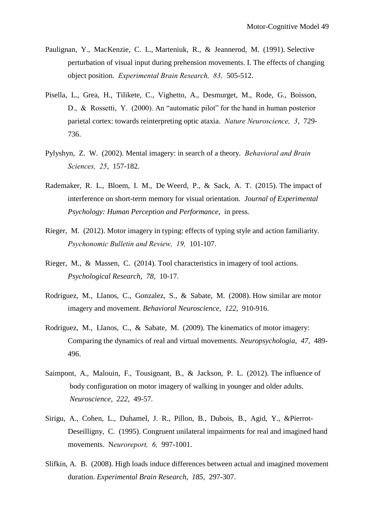- Paulignan, Y., MacKenzie, C. L., Marteniuk, R., & Jeannerod, M. (1991). Selective perturbation of visual input during prehension movements. I. The effects of changing object position. *Experimental Brain Research, 83,* 505-512.
- Pisella, L., Grea, H., Tilikete, C., Vighetto, A., Desmurget, M., Rode, G., Boisson, D., & Rossetti, Y. (2000). An "automatic pilot" for the hand in human posterior parietal cortex: towards reinterpreting optic ataxia. *Nature Neuroscience, 3*, 729- 736.
- Pylyshyn, Z. W. (2002). Mental imagery: in search of a theory. *Behavioral and Brain Sciences, 25*, 157-182.
- Rademaker, R. L., Bloem, I. M., De Weerd, P., & Sack, A. T. (2015). The impact of interference on short-term memory for visual orientation. *Journal of Experimental Psychology: Human Perception and Performance,* in press.
- Rieger, M. (2012). Motor imagery in typing: effects of typing style and action familiarity. *Psychonomic Bulletin and Review, 19,* 101-107.
- Rieger, M., & Massen, C. (2014). Tool characteristics in imagery of tool actions. *Psychological Research, 78,* 10-17.
- Rodriguez, M., Llanos, C., Gonzalez, S., & Sabate, M. (2008). How similar are motor imagery and movement. *Behavioral Neuroscience, 122,* 910-916.
- Rodriguez, M., Llanos, C., & Sabate, M. (2009). The kinematics of motor imagery: Comparing the dynamics of real and virtual movements. *Neuropsychologia, 47,* 489- 496.
- Saimpont, A., Malouin, F., Tousignant, B., & Jackson, P. L. (2012). The influence of body configuration on motor imagery of walking in younger and older adults. *Neuroscience, 222,* 49-57.
- Sirigu, A., Cohen, L., Duhamel, J. R., Pillon, B., Dubois, B., Agid, Y., &Pierrot-Deseilligny, C. (1995). Congruent unilateral impairments for real and imagined hand movements. N*euroreport, 6,* 997-1001.
- Slifkin, A. B. (2008). High loads induce differences between actual and imagined movement duration. *Experimental Brain Research, 185,* 297-307.